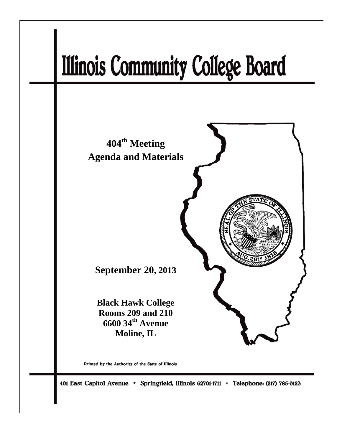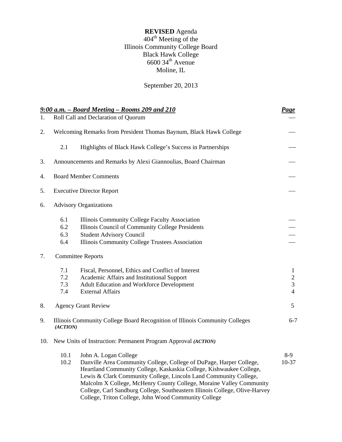# **REVISED** Agenda  $404^{\text{th}}$  Meeting of the Illinois Community College Board Black Hawk College  $6600$  34<sup>th</sup> Avenue Moline, IL

September 20, 2013

| 1.  |                          | 9:00 a.m. - Board Meeting - Rooms 209 and 210<br>Roll Call and Declaration of Quorum                                                                                                                                                                                                                                                                                                                                                                  | <u>Page</u>                                                        |
|-----|--------------------------|-------------------------------------------------------------------------------------------------------------------------------------------------------------------------------------------------------------------------------------------------------------------------------------------------------------------------------------------------------------------------------------------------------------------------------------------------------|--------------------------------------------------------------------|
| 2.  |                          | Welcoming Remarks from President Thomas Baynum, Black Hawk College                                                                                                                                                                                                                                                                                                                                                                                    |                                                                    |
|     | 2.1                      | Highlights of Black Hawk College's Success in Partnerships                                                                                                                                                                                                                                                                                                                                                                                            |                                                                    |
| 3.  |                          | Announcements and Remarks by Alexi Giannoulias, Board Chairman                                                                                                                                                                                                                                                                                                                                                                                        |                                                                    |
| 4.  |                          | <b>Board Member Comments</b>                                                                                                                                                                                                                                                                                                                                                                                                                          |                                                                    |
| 5.  |                          | <b>Executive Director Report</b>                                                                                                                                                                                                                                                                                                                                                                                                                      |                                                                    |
| 6.  |                          | <b>Advisory Organizations</b>                                                                                                                                                                                                                                                                                                                                                                                                                         |                                                                    |
|     | 6.1<br>6.2<br>6.3<br>6.4 | Illinois Community College Faculty Association<br>Illinois Council of Community College Presidents<br><b>Student Advisory Council</b><br>Illinois Community College Trustees Association                                                                                                                                                                                                                                                              |                                                                    |
| 7.  |                          | <b>Committee Reports</b>                                                                                                                                                                                                                                                                                                                                                                                                                              |                                                                    |
|     | 7.1<br>7.2<br>7.3<br>7.4 | Fiscal, Personnel, Ethics and Conflict of Interest<br>Academic Affairs and Institutional Support<br>Adult Education and Workforce Development<br><b>External Affairs</b>                                                                                                                                                                                                                                                                              | $\mathbf{1}$<br>$\overline{c}$<br>$\overline{3}$<br>$\overline{4}$ |
| 8.  |                          | <b>Agency Grant Review</b>                                                                                                                                                                                                                                                                                                                                                                                                                            | 5                                                                  |
| 9.  | (ACTION)                 | Illinois Community College Board Recognition of Illinois Community Colleges                                                                                                                                                                                                                                                                                                                                                                           | $6 - 7$                                                            |
| 10. |                          | New Units of Instruction: Permanent Program Approval (ACTION)                                                                                                                                                                                                                                                                                                                                                                                         |                                                                    |
|     | 10.1<br>10.2             | John A. Logan College<br>Danville Area Community College, College of DuPage, Harper College,<br>Heartland Community College, Kaskaskia College, Kishwaukee College,<br>Lewis & Clark Community College, Lincoln Land Community College,<br>Malcolm X College, McHenry County College, Moraine Valley Community<br>College, Carl Sandburg College, Southeastern Illinois College, Olive-Harvey<br>College, Triton College, John Wood Community College | $8-9$<br>$10-37$                                                   |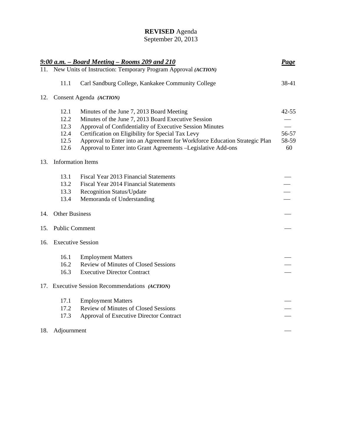# **REVISED** Agenda

### September 20, 2013

|     |                          | 9:00 a.m. - Board Meeting - Rooms 209 and 210                              | <b>Page</b>              |
|-----|--------------------------|----------------------------------------------------------------------------|--------------------------|
|     |                          | 11. New Units of Instruction: Temporary Program Approval (ACTION)          |                          |
|     | 11.1                     | Carl Sandburg College, Kankakee Community College                          | 38-41                    |
| 12. |                          | Consent Agenda (ACTION)                                                    |                          |
|     | 12.1                     | Minutes of the June 7, 2013 Board Meeting                                  | $42 - 55$                |
|     | 12.2                     | Minutes of the June 7, 2013 Board Executive Session                        |                          |
|     | 12.3                     | Approval of Confidentiality of Executive Session Minutes                   |                          |
|     | 12.4                     | Certification on Eligibility for Special Tax Levy                          | 56-57                    |
|     | 12.5                     | Approval to Enter into an Agreement for Workforce Education Strategic Plan | 58-59                    |
|     | 12.6                     | Approval to Enter into Grant Agreements - Legislative Add-ons              | 60                       |
| 13. | <b>Information Items</b> |                                                                            |                          |
|     | 13.1                     | Fiscal Year 2013 Financial Statements                                      |                          |
|     | 13.2                     | Fiscal Year 2014 Financial Statements                                      |                          |
|     | 13.3                     | <b>Recognition Status/Update</b>                                           |                          |
|     | 13.4                     | Memoranda of Understanding                                                 | $\overline{\phantom{0}}$ |
| 14. | <b>Other Business</b>    |                                                                            |                          |
| 15. | <b>Public Comment</b>    |                                                                            |                          |
| 16. | <b>Executive Session</b> |                                                                            |                          |
|     | 16.1                     | <b>Employment Matters</b>                                                  |                          |
|     | 16.2                     | <b>Review of Minutes of Closed Sessions</b>                                |                          |
|     | 16.3                     | <b>Executive Director Contract</b>                                         |                          |
|     |                          | 17. Executive Session Recommendations (ACTION)                             |                          |
|     | 17.1                     | <b>Employment Matters</b>                                                  |                          |
|     | 17.2                     | Review of Minutes of Closed Sessions                                       |                          |
|     | 17.3                     | Approval of Executive Director Contract                                    |                          |
| 18. | Adjournment              |                                                                            |                          |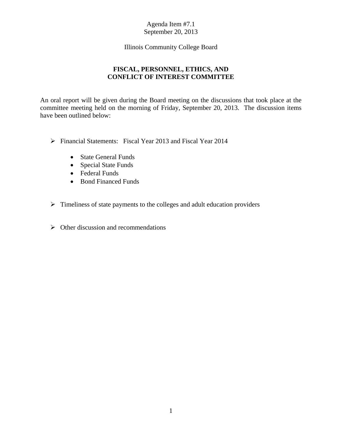Illinois Community College Board

# **FISCAL, PERSONNEL, ETHICS, AND CONFLICT OF INTEREST COMMITTEE**

An oral report will be given during the Board meeting on the discussions that took place at the committee meeting held on the morning of Friday, September 20, 2013. The discussion items have been outlined below:

- Financial Statements: Fiscal Year 2013 and Fiscal Year 2014
	- State General Funds
	- Special State Funds
	- Federal Funds
	- Bond Financed Funds
- $\triangleright$  Timeliness of state payments to the colleges and adult education providers
- $\triangleright$  Other discussion and recommendations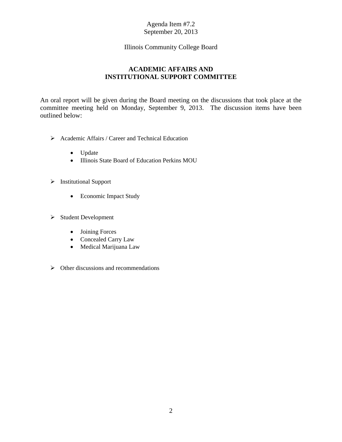## Illinois Community College Board

# **ACADEMIC AFFAIRS AND INSTITUTIONAL SUPPORT COMMITTEE**

An oral report will be given during the Board meeting on the discussions that took place at the committee meeting held on Monday, September 9, 2013. The discussion items have been outlined below:

- Academic Affairs / Career and Technical Education
	- Update
	- Illinois State Board of Education Perkins MOU
- > Institutional Support
	- Economic Impact Study
- $\triangleright$  Student Development
	- Joining Forces
	- Concealed Carry Law
	- Medical Marijuana Law
- $\triangleright$  Other discussions and recommendations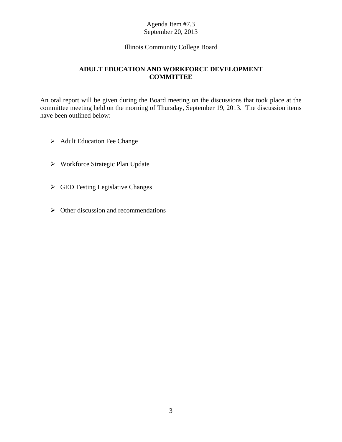## Illinois Community College Board

# **ADULT EDUCATION AND WORKFORCE DEVELOPMENT COMMITTEE**

An oral report will be given during the Board meeting on the discussions that took place at the committee meeting held on the morning of Thursday, September 19, 2013. The discussion items have been outlined below:

- **►** Adult Education Fee Change
- Workforce Strategic Plan Update
- GED Testing Legislative Changes
- $\triangleright$  Other discussion and recommendations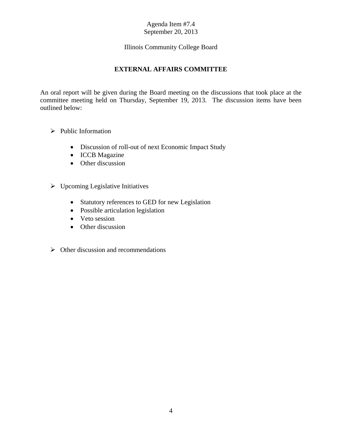# Illinois Community College Board

# **EXTERNAL AFFAIRS COMMITTEE**

An oral report will be given during the Board meeting on the discussions that took place at the committee meeting held on Thursday, September 19, 2013. The discussion items have been outlined below:

- $\triangleright$  Public Information
	- Discussion of roll-out of next Economic Impact Study
	- ICCB Magazine
	- Other discussion
- $\triangleright$  Upcoming Legislative Initiatives
	- Statutory references to GED for new Legislation
	- Possible articulation legislation
	- Veto session
	- Other discussion
- $\triangleright$  Other discussion and recommendations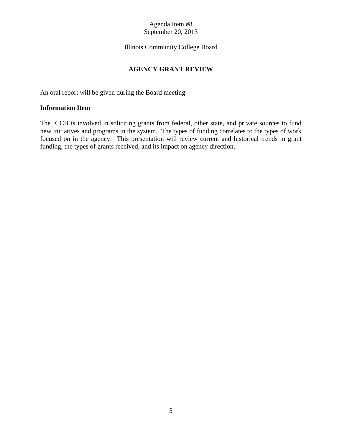# Illinois Community College Board

# **AGENCY GRANT REVIEW**

An oral report will be given during the Board meeting.

# **Information Item**

The ICCB is involved in soliciting grants from federal, other state, and private sources to fund new initiatives and programs in the system. The types of funding correlates to the types of work focused on in the agency. This presentation will review current and historical trends in grant funding, the types of grants received, and its impact on agency direction.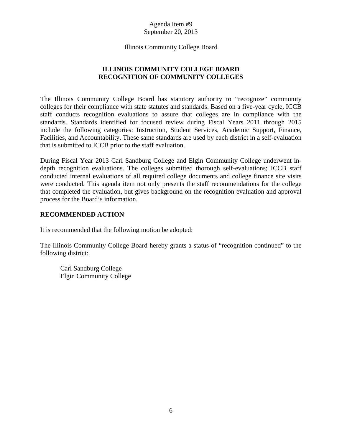Illinois Community College Board

# **ILLINOIS COMMUNITY COLLEGE BOARD RECOGNITION OF COMMUNITY COLLEGES**

The Illinois Community College Board has statutory authority to "recognize" community colleges for their compliance with state statutes and standards. Based on a five-year cycle, ICCB staff conducts recognition evaluations to assure that colleges are in compliance with the standards. Standards identified for focused review during Fiscal Years 2011 through 2015 include the following categories: Instruction, Student Services, Academic Support, Finance, Facilities, and Accountability. These same standards are used by each district in a self-evaluation that is submitted to ICCB prior to the staff evaluation.

During Fiscal Year 2013 Carl Sandburg College and Elgin Community College underwent indepth recognition evaluations. The colleges submitted thorough self-evaluations; ICCB staff conducted internal evaluations of all required college documents and college finance site visits were conducted. This agenda item not only presents the staff recommendations for the college that completed the evaluation, but gives background on the recognition evaluation and approval process for the Board's information.

# **RECOMMENDED ACTION**

It is recommended that the following motion be adopted:

The Illinois Community College Board hereby grants a status of "recognition continued" to the following district:

 Carl Sandburg College Elgin Community College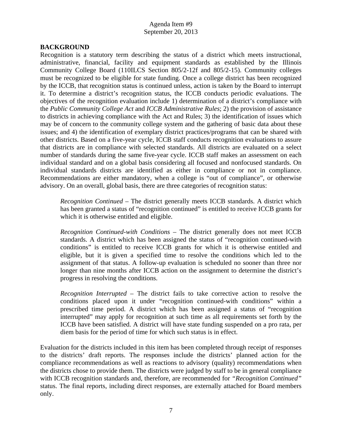# **BACKGROUND**

Recognition is a statutory term describing the status of a district which meets instructional, administrative, financial, facility and equipment standards as established by the Illinois Community College Board (110ILCS Section 805/2-12f and 805/2-15). Community colleges must be recognized to be eligible for state funding. Once a college district has been recognized by the ICCB, that recognition status is continued unless, action is taken by the Board to interrupt it. To determine a district's recognition status, the ICCB conducts periodic evaluations. The objectives of the recognition evaluation include 1) determination of a district's compliance with the *Public Community College Act* and *ICCB Administrative Rules*; 2) the provision of assistance to districts in achieving compliance with the Act and Rules; 3) the identification of issues which may be of concern to the community college system and the gathering of basic data about these issues; and 4) the identification of exemplary district practices/programs that can be shared with other districts. Based on a five-year cycle, ICCB staff conducts recognition evaluations to assure that districts are in compliance with selected standards. All districts are evaluated on a select number of standards during the same five-year cycle. ICCB staff makes an assessment on each individual standard and on a global basis considering all focused and nonfocused standards. On individual standards districts are identified as either in compliance or not in compliance. Recommendations are either mandatory, when a college is "out of compliance", or otherwise advisory. On an overall, global basis, there are three categories of recognition status:

*Recognition Continued* – The district generally meets ICCB standards. A district which has been granted a status of "recognition continued" is entitled to receive ICCB grants for which it is otherwise entitled and eligible.

 *Recognition Continued-with Conditions* – The district generally does not meet ICCB standards. A district which has been assigned the status of "recognition continued-with conditions" is entitled to receive ICCB grants for which it is otherwise entitled and eligible, but it is given a specified time to resolve the conditions which led to the assignment of that status. A follow-up evaluation is scheduled no sooner than three nor longer than nine months after ICCB action on the assignment to determine the district's progress in resolving the conditions.

*Recognition Interrupted* – The district fails to take corrective action to resolve the conditions placed upon it under "recognition continued-with conditions" within a prescribed time period. A district which has been assigned a status of "recognition interrupted" may apply for recognition at such time as all requirements set forth by the ICCB have been satisfied. A district will have state funding suspended on a pro rata, per diem basis for the period of time for which such status is in effect.

Evaluation for the districts included in this item has been completed through receipt of responses to the districts' draft reports. The responses include the districts' planned action for the compliance recommendations as well as reactions to advisory (quality) recommendations when the districts chose to provide them. The districts were judged by staff to be in general compliance with ICCB recognition standards and, therefore, are recommended for *"Recognition Continued"*  status. The final reports, including direct responses, are externally attached for Board members only.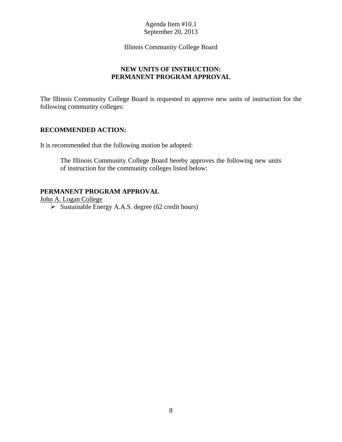## Illinois Community College Board

# **NEW UNITS OF INSTRUCTION: PERMANENT PROGRAM APPROVAL**

The Illinois Community College Board is requested to approve new units of instruction for the following community colleges:

# **RECOMMENDED ACTION:**

It is recommended that the following motion be adopted:

The Illinois Community College Board hereby approves the following new units of instruction for the community colleges listed below:

# **PERMANENT PROGRAM APPROVAL**

John A. Logan College

 $\triangleright$  Sustainable Energy A.A.S. degree (62 credit hours)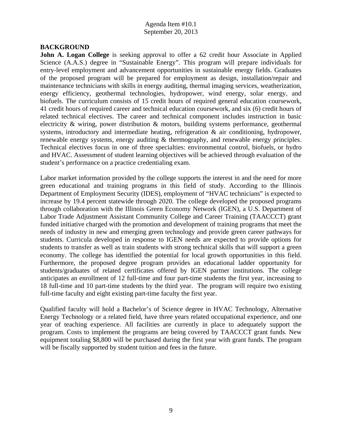### **BACKGROUND**

**John A. Logan College** is seeking approval to offer a 62 credit hour Associate in Applied Science (A.A.S.) degree in "Sustainable Energy". This program will prepare individuals for entry-level employment and advancement opportunities in sustainable energy fields. Graduates of the proposed program will be prepared for employment as design, installation/repair and maintenance technicians with skills in energy auditing, thermal imaging services, weatherization, energy efficiency, geothermal technologies, hydropower, wind energy, solar energy, and biofuels. The curriculum consists of 15 credit hours of required general education coursework, 41 credit hours of required career and technical education coursework, and six (6) credit hours of related technical electives. The career and technical component includes instruction in basic electricity & wiring, power distribution & motors, building systems performance, geothermal systems, introductory and intermediate heating, refrigeration & air conditioning, hydropower, renewable energy systems, energy auditing & thermography, and renewable energy principles. Technical electives focus in one of three specialties: environmental control, biofuels, or hydro and HVAC. Assessment of student learning objectives will be achieved through evaluation of the student's performance on a practice credentialing exam.

Labor market information provided by the college supports the interest in and the need for more green educational and training programs in this field of study. According to the Illinois Department of Employment Security (IDES), employment of "HVAC technicians" is expected to increase by 19.4 percent statewide through 2020. The college developed the proposed programs through collaboration with the Illinois Green Economy Network (IGEN), a U.S. Department of Labor Trade Adjustment Assistant Community College and Career Training (TAACCCT) grant funded initiative charged with the promotion and development of training programs that meet the needs of industry in new and emerging green technology and provide green career pathways for students. Curricula developed in response to IGEN needs are expected to provide options for students to transfer as well as train students with strong technical skills that will support a green economy. The college has identified the potential for local growth opportunities in this field. Furthermore, the proposed degree program provides an educational ladder opportunity for students/graduates of related certificates offered by IGEN partner institutions. The college anticipates an enrollment of 12 full-time and four part-time students the first year, increasing to 18 full-time and 10 part-time students by the third year. The program will require two existing full-time faculty and eight existing part-time faculty the first year.

Qualified faculty will hold a Bachelor's of Science degree in HVAC Technology, Alternative Energy Technology or a related field, have three years related occupational experience, and one year of teaching experience. All facilities are currently in place to adequately support the program. Costs to implement the programs are being covered by TAACCCT grant funds. New equipment totaling \$8,800 will be purchased during the first year with grant funds. The program will be fiscally supported by student tuition and fees in the future.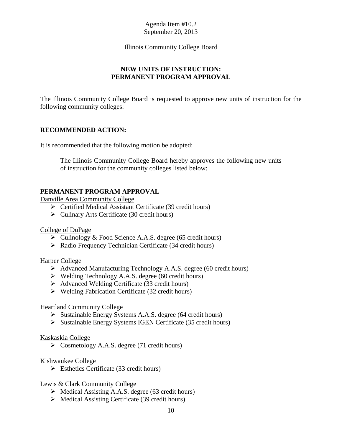## Illinois Community College Board

# **NEW UNITS OF INSTRUCTION: PERMANENT PROGRAM APPROVAL**

The Illinois Community College Board is requested to approve new units of instruction for the following community colleges:

# **RECOMMENDED ACTION:**

It is recommended that the following motion be adopted:

The Illinois Community College Board hereby approves the following new units of instruction for the community colleges listed below:

# **PERMANENT PROGRAM APPROVAL**

Danville Area Community College

- Certified Medical Assistant Certificate (39 credit hours)
- $\triangleright$  Culinary Arts Certificate (30 credit hours)

## College of DuPage

- $\triangleright$  Culinology & Food Science A.A.S. degree (65 credit hours)
- $\triangleright$  Radio Frequency Technician Certificate (34 credit hours)

## Harper College

- Advanced Manufacturing Technology A.A.S. degree (60 credit hours)
- $\triangleright$  Welding Technology A.A.S. degree (60 credit hours)
- $\triangleright$  Advanced Welding Certificate (33 credit hours)
- $\triangleright$  Welding Fabrication Certificate (32 credit hours)

## Heartland Community College

- $\triangleright$  Sustainable Energy Systems A.A.S. degree (64 credit hours)
- $\triangleright$  Sustainable Energy Systems IGEN Certificate (35 credit hours)

### Kaskaskia College

 $\triangleright$  Cosmetology A.A.S. degree (71 credit hours)

## Kishwaukee College

 $\triangleright$  Esthetics Certificate (33 credit hours)

## Lewis & Clark Community College

- $\triangleright$  Medical Assisting A.A.S. degree (63 credit hours)
- $\triangleright$  Medical Assisting Certificate (39 credit hours)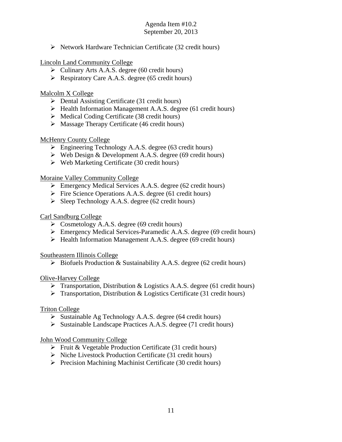$\triangleright$  Network Hardware Technician Certificate (32 credit hours)

Lincoln Land Community College

- Culinary Arts A.A.S. degree (60 credit hours)
- P Respiratory Care A.A.S. degree (65 credit hours)

# Malcolm X College

- $\triangleright$  Dental Assisting Certificate (31 credit hours)
- $\triangleright$  Health Information Management A.A.S. degree (61 credit hours)
- $\triangleright$  Medical Coding Certificate (38 credit hours)
- $\triangleright$  Massage Therapy Certificate (46 credit hours)

# McHenry County College

- Engineering Technology A.A.S. degree (63 credit hours)
- $\triangleright$  Web Design & Development A.A.S. degree (69 credit hours)
- $\triangleright$  Web Marketing Certificate (30 credit hours)

# Moraine Valley Community College

- Emergency Medical Services A.A.S. degree (62 credit hours)
- $\triangleright$  Fire Science Operations A.A.S. degree (61 credit hours)
- $\triangleright$  Sleep Technology A.A.S. degree (62 credit hours)

# Carl Sandburg College

- $\triangleright$  Cosmetology A.A.S. degree (69 credit hours)
- Emergency Medical Services-Paramedic A.A.S. degree (69 credit hours)
- $\triangleright$  Health Information Management A.A.S. degree (69 credit hours)

Southeastern Illinois College

 $\triangleright$  Biofuels Production & Sustainability A.A.S. degree (62 credit hours)

Olive-Harvey College

- $\triangleright$  Transportation, Distribution & Logistics A.A.S. degree (61 credit hours)
- $\triangleright$  Transportation, Distribution & Logistics Certificate (31 credit hours)

# Triton College

- $\triangleright$  Sustainable Ag Technology A.A.S. degree (64 credit hours)
- $\triangleright$  Sustainable Landscape Practices A.A.S. degree (71 credit hours)

# John Wood Community College

- $\triangleright$  Fruit & Vegetable Production Certificate (31 credit hours)
- $\triangleright$  Niche Livestock Production Certificate (31 credit hours)
- $\triangleright$  Precision Machining Machinist Certificate (30 credit hours)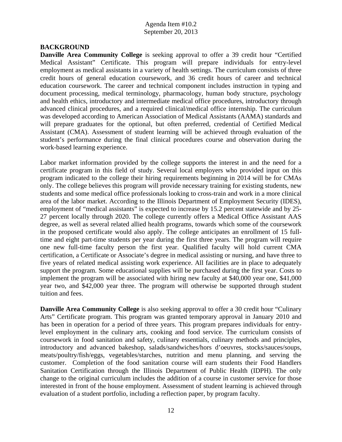### **BACKGROUND**

**Danville Area Community College** is seeking approval to offer a 39 credit hour "Certified Medical Assistant" Certificate. This program will prepare individuals for entry-level employment as medical assistants in a variety of health settings. The curriculum consists of three credit hours of general education coursework, and 36 credit hours of career and technical education coursework. The career and technical component includes instruction in typing and document processing, medical terminology, pharmacology, human body structure, psychology and health ethics, introductory and intermediate medical office procedures, introductory through advanced clinical procedures, and a required clinical/medical office internship. The curriculum was developed according to American Association of Medical Assistants (AAMA) standards and will prepare graduates for the optional, but often preferred, credential of Certified Medical Assistant (CMA). Assessment of student learning will be achieved through evaluation of the student's performance during the final clinical procedures course and observation during the work-based learning experience.

Labor market information provided by the college supports the interest in and the need for a certificate program in this field of study. Several local employers who provided input on this program indicated to the college their hiring requirements beginning in 2014 will be for CMAs only. The college believes this program will provide necessary training for existing students, new students and some medical office professionals looking to cross-train and work in a more clinical area of the labor market. According to the Illinois Department of Employment Security (IDES), employment of "medical assistants" is expected to increase by 15.2 percent statewide and by 25-27 percent locally through 2020. The college currently offers a Medical Office Assistant AAS degree, as well as several related allied health programs, towards which some of the coursework in the proposed certificate would also apply. The college anticipates an enrollment of 15 fulltime and eight part-time students per year during the first three years. The program will require one new full-time faculty person the first year. Qualified faculty will hold current CMA certification, a Certificate or Associate's degree in medical assisting or nursing, and have three to five years of related medical assisting work experience. All facilities are in place to adequately support the program. Some educational supplies will be purchased during the first year. Costs to implement the program will be associated with hiring new faculty at \$40,000 year one, \$41,000 year two, and \$42,000 year three. The program will otherwise be supported through student tuition and fees.

**Danville Area Community College** is also seeking approval to offer a 30 credit hour "Culinary" Arts" Certificate program. This program was granted temporary approval in January 2010 and has been in operation for a period of three years. This program prepares individuals for entrylevel employment in the culinary arts, cooking and food service. The curriculum consists of coursework in food sanitation and safety, culinary essentials, culinary methods and principles, introductory and advanced bakeshop, salads/sandwiches/hors d'oeuvres, stocks/sauces/soups, meats/poultry/fish/eggs, vegetables/starches, nutrition and menu planning, and serving the customer. Completion of the food sanitation course will earn students their Food Handlers Sanitation Certification through the Illinois Department of Public Health (IDPH). The only change to the original curriculum includes the addition of a course in customer service for those interested in front of the house employment. Assessment of student learning is achieved through evaluation of a student portfolio, including a reflection paper, by program faculty.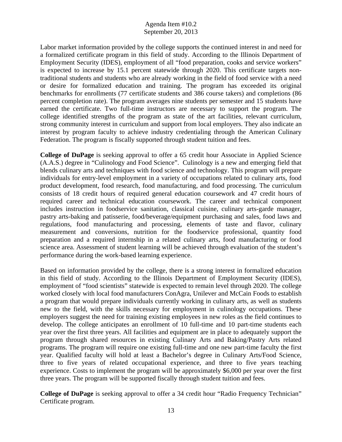Labor market information provided by the college supports the continued interest in and need for a formalized certificate program in this field of study. According to the Illinois Department of Employment Security (IDES), employment of all "food preparation, cooks and service workers" is expected to increase by 15.1 percent statewide through 2020. This certificate targets nontraditional students and students who are already working in the field of food service with a need or desire for formalized education and training. The program has exceeded its original benchmarks for enrollments (77 certificate students and 386 course takers) and completions (86 percent completion rate). The program averages nine students per semester and 15 students have earned the certificate. Two full-time instructors are necessary to support the program. The college identified strengths of the program as state of the art facilities, relevant curriculum, strong community interest in curriculum and support from local employers. They also indicate an interest by program faculty to achieve industry credentialing through the American Culinary Federation. The program is fiscally supported through student tuition and fees.

**College of DuPage** is seeking approval to offer a 65 credit hour Associate in Applied Science (A.A.S.) degree in "Culinology and Food Science". Culinology is a new and emerging field that blends culinary arts and techniques with food science and technology. This program will prepare individuals for entry-level employment in a variety of occupations related to culinary arts, food product development, food research, food manufacturing, and food processing. The curriculum consists of 18 credit hours of required general education coursework and 47 credit hours of required career and technical education coursework. The career and technical component includes instruction in foodservice sanitation, classical cuisine, culinary arts-garde manager, pastry arts-baking and patisserie, food/beverage/equipment purchasing and sales, food laws and regulations, food manufacturing and processing, elements of taste and flavor, culinary measurement and conversions, nutrition for the foodservice professional, quantity food preparation and a required internship in a related culinary arts, food manufacturing or food science area. Assessment of student learning will be achieved through evaluation of the student's performance during the work-based learning experience.

Based on information provided by the college, there is a strong interest in formalized education in this field of study. According to the Illinois Department of Employment Security (IDES), employment of "food scientists" statewide is expected to remain level through 2020. The college worked closely with local food manufacturers ConAgra, Unilever and McCain Foods to establish a program that would prepare individuals currently working in culinary arts, as well as students new to the field, with the skills necessary for employment in culinology occupations. These employers suggest the need for training existing employees in new roles as the field continues to develop. The college anticipates an enrollment of 10 full-time and 10 part-time students each year over the first three years. All facilities and equipment are in place to adequately support the program through shared resources in existing Culinary Arts and Baking/Pastry Arts related programs. The program will require one existing full-time and one new part-time faculty the first year. Qualified faculty will hold at least a Bachelor's degree in Culinary Arts/Food Science, three to five years of related occupational experience, and three to five years teaching experience. Costs to implement the program will be approximately \$6,000 per year over the first three years. The program will be supported fiscally through student tuition and fees.

**College of DuPage** is seeking approval to offer a 34 credit hour "Radio Frequency Technician" Certificate program.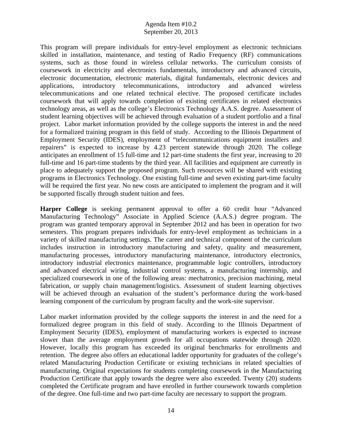This program will prepare individuals for entry-level employment as electronic technicians skilled in installation, maintenance, and testing of Radio Frequency (RF) communications systems, such as those found in wireless cellular networks. The curriculum consists of coursework in electricity and electronics fundamentals, introductory and advanced circuits, electronic documentation, electronic materials, digital fundamentals, electronic devices and applications, introductory telecommunications, introductory and advanced wireless telecommunications and one related technical elective. The proposed certificate includes coursework that will apply towards completion of existing certificates in related electronics technology areas, as well as the college's Electronics Technology A.A.S. degree. Assessment of student learning objectives will be achieved through evaluation of a student portfolio and a final project. Labor market information provided by the college supports the interest in and the need for a formalized training program in this field of study. According to the Illinois Department of Employment Security (IDES), employment of "telecommunications equipment installers and repairers" is expected to increase by 4.23 percent statewide through 2020. The college anticipates an enrollment of 15 full-time and 12 part-time students the first year, increasing to 20 full-time and 16 part-time students by the third year. All facilities and equipment are currently in place to adequately support the proposed program. Such resources will be shared with existing programs in Electronics Technology. One existing full-time and seven existing part-time faculty will be required the first year. No new costs are anticipated to implement the program and it will be supported fiscally through student tuition and fees.

**Harper College** is seeking permanent approval to offer a 60 credit hour "Advanced Manufacturing Technology" Associate in Applied Science (A.A.S.) degree program. The program was granted temporary approval in September 2012 and has been in operation for two semesters. This program prepares individuals for entry-level employment as technicians in a variety of skilled manufacturing settings. The career and technical component of the curriculum includes instruction in introductory manufacturing and safety, quality and measurement, manufacturing processes, introductory manufacturing maintenance, introductory electronics, introductory industrial electronics maintenance, programmable logic controllers, introductory and advanced electrical wiring, industrial control systems, a manufacturing internship, and specialized coursework in one of the following areas: mechatronics, precision machining, metal fabrication, or supply chain management/logistics. Assessment of student learning objectives will be achieved through an evaluation of the student's performance during the work-based learning component of the curriculum by program faculty and the work-site supervisor.

Labor market information provided by the college supports the interest in and the need for a formalized degree program in this field of study. According to the Illinois Department of Employment Security (IDES), employment of manufacturing workers is expected to increase slower than the average employment growth for all occupations statewide through 2020. However, locally this program has exceeded its original benchmarks for enrollments and retention. The degree also offers an educational ladder opportunity for graduates of the college's related Manufacturing Production Certificate or existing technicians in related specialties of manufacturing. Original expectations for students completing coursework in the Manufacturing Production Certificate that apply towards the degree were also exceeded. Twenty (20) students completed the Certificate program and have enrolled in further coursework towards completion of the degree. One full-time and two part-time faculty are necessary to support the program.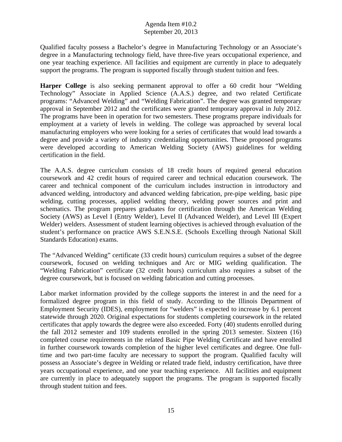Qualified faculty possess a Bachelor's degree in Manufacturing Technology or an Associate's degree in a Manufacturing technology field, have three-five years occupational experience, and one year teaching experience. All facilities and equipment are currently in place to adequately support the programs. The program is supported fiscally through student tuition and fees.

**Harper College** is also seeking permanent approval to offer a 60 credit hour "Welding Technology" Associate in Applied Science (A.A.S.) degree, and two related Certificate programs: "Advanced Welding" and "Welding Fabrication". The degree was granted temporary approval in September 2012 and the certificates were granted temporary approval in July 2012. The programs have been in operation for two semesters. These programs prepare individuals for employment at a variety of levels in welding. The college was approached by several local manufacturing employers who were looking for a series of certificates that would lead towards a degree and provide a variety of industry credentialing opportunities. These proposed programs were developed according to American Welding Society (AWS) guidelines for welding certification in the field.

The A.A.S. degree curriculum consists of 18 credit hours of required general education coursework and 42 credit hours of required career and technical education coursework. The career and technical component of the curriculum includes instruction in introductory and advanced welding, introductory and advanced welding fabrication, pre-pipe welding, basic pipe welding, cutting processes, applied welding theory, welding power sources and print and schematics. The program prepares graduates for certification through the American Welding Society (AWS) as Level I (Entry Welder), Level II (Advanced Welder), and Level III (Expert Welder) welders. Assessment of student learning objectives is achieved through evaluation of the student's performance on practice AWS S.E.N.S.E. (Schools Excelling through National Skill Standards Education) exams.

The "Advanced Welding" certificate (33 credit hours) curriculum requires a subset of the degree coursework, focused on welding techniques and Arc or MIG welding qualification. The "Welding Fabrication" certificate (32 credit hours) curriculum also requires a subset of the degree coursework, but is focused on welding fabrication and cutting processes.

Labor market information provided by the college supports the interest in and the need for a formalized degree program in this field of study. According to the Illinois Department of Employment Security (IDES), employment for "welders" is expected to increase by 6.1 percent statewide through 2020. Original expectations for students completing coursework in the related certificates that apply towards the degree were also exceeded. Forty (40) students enrolled during the fall 2012 semester and 109 students enrolled in the spring 2013 semester. Sixteen (16) completed course requirements in the related Basic Pipe Welding Certificate and have enrolled in further coursework towards completion of the higher level certificates and degree. One fulltime and two part-time faculty are necessary to support the program. Qualified faculty will possess an Associate's degree in Welding or related trade field, industry certification, have three years occupational experience, and one year teaching experience. All facilities and equipment are currently in place to adequately support the programs. The program is supported fiscally through student tuition and fees.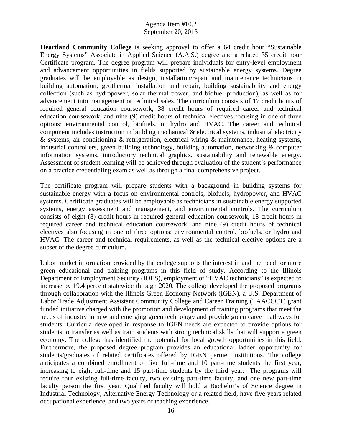**Heartland Community College** is seeking approval to offer a 64 credit hour "Sustainable Energy Systems" Associate in Applied Science (A.A.S.) degree and a related 35 credit hour Certificate program. The degree program will prepare individuals for entry-level employment and advancement opportunities in fields supported by sustainable energy systems. Degree graduates will be employable as design, installation/repair and maintenance technicians in building automation, geothermal installation and repair, building sustainability and energy collection (such as hydropower, solar thermal power, and biofuel production), as well as for advancement into management or technical sales. The curriculum consists of 17 credit hours of required general education coursework, 38 credit hours of required career and technical education coursework, and nine (9) credit hours of technical electives focusing in one of three options: environmental control, biofuels, or hydro and HVAC. The career and technical component includes instruction in building mechanical  $\&$  electrical systems, industrial electricity & systems, air conditioning & refrigeration, electrical wiring & maintenance, heating systems, industrial controllers, green building technology, building automation, networking & computer information systems, introductory technical graphics, sustainability and renewable energy. Assessment of student learning will be achieved through evaluation of the student's performance on a practice credentialing exam as well as through a final comprehensive project.

The certificate program will prepare students with a background in building systems for sustainable energy with a focus on environmental controls, biofuels, hydropower, and HVAC systems. Certificate graduates will be employable as technicians in sustainable energy supported systems, energy assessment and management, and environmental controls. The curriculum consists of eight (8) credit hours in required general education coursework, 18 credit hours in required career and technical education coursework, and nine (9) credit hours of technical electives also focusing in one of three options: environmental control, biofuels, or hydro and HVAC. The career and technical requirements, as well as the technical elective options are a subset of the degree curriculum.

Labor market information provided by the college supports the interest in and the need for more green educational and training programs in this field of study. According to the Illinois Department of Employment Security (IDES), employment of "HVAC technicians" is expected to increase by 19.4 percent statewide through 2020. The college developed the proposed programs through collaboration with the Illinois Green Economy Network (IGEN), a U.S. Department of Labor Trade Adjustment Assistant Community College and Career Training (TAACCCT) grant funded initiative charged with the promotion and development of training programs that meet the needs of industry in new and emerging green technology and provide green career pathways for students. Curricula developed in response to IGEN needs are expected to provide options for students to transfer as well as train students with strong technical skills that will support a green economy. The college has identified the potential for local growth opportunities in this field. Furthermore, the proposed degree program provides an educational ladder opportunity for students/graduates of related certificates offered by IGEN partner institutions. The college anticipates a combined enrollment of five full-time and 10 part-time students the first year, increasing to eight full-time and 15 part-time students by the third year. The programs will require four existing full-time faculty, two existing part-time faculty, and one new part-time faculty person the first year. Qualified faculty will hold a Bachelor's of Science degree in Industrial Technology, Alternative Energy Technology or a related field, have five years related occupational experience, and two years of teaching experience.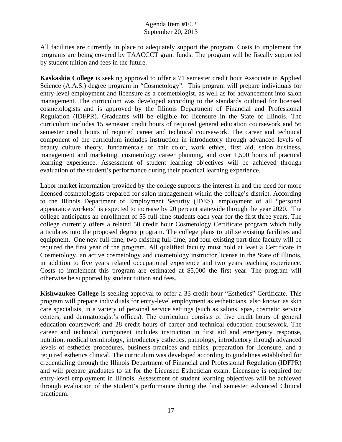All facilities are currently in place to adequately support the program. Costs to implement the programs are being covered by TAACCCT grant funds. The program will be fiscally supported by student tuition and fees in the future.

**Kaskaskia College** is seeking approval to offer a 71 semester credit hour Associate in Applied Science (A.A.S.) degree program in "Cosmetology". This program will prepare individuals for entry-level employment and licensure as a cosmetologist, as well as for advancement into salon management. The curriculum was developed according to the standards outlined for licensed cosmetologists and is approved by the Illinois Department of Financial and Professional Regulation (IDFPR). Graduates will be eligible for licensure in the State of Illinois. The curriculum includes 15 semester credit hours of required general education coursework and 56 semester credit hours of required career and technical coursework. The career and technical component of the curriculum includes instruction in introductory through advanced levels of beauty culture theory, fundamentals of hair color, work ethics, first aid, salon business, management and marketing, cosmetology career planning, and over 1,500 hours of practical learning experience. Assessment of student learning objectives will be achieved through evaluation of the student's performance during their practical learning experience.

Labor market information provided by the college supports the interest in and the need for more licensed cosmetologists prepared for salon management within the college's district. According to the Illinois Department of Employment Security (IDES), employment of all "personal appearance workers" is expected to increase by 20 percent statewide through the year 2020. The college anticipates an enrollment of 55 full-time students each year for the first three years. The college currently offers a related 50 credit hour Cosmetology Certificate program which fully articulates into the proposed degree program. The college plans to utilize existing facilities and equipment. One new full-time, two existing full-time, and four existing part-time faculty will be required the first year of the program. All qualified faculty must hold at least a Certificate in Cosmetology, an active cosmetology and cosmetology instructor license in the State of Illinois, in addition to five years related occupational experience and two years teaching experience. Costs to implement this program are estimated at \$5,000 the first year. The program will otherwise be supported by student tuition and fees.

**Kishwaukee College** is seeking approval to offer a 33 credit hour "Esthetics" Certificate. This program will prepare individuals for entry-level employment as estheticians, also known as skin care specialists, in a variety of personal service settings (such as salons, spas, cosmetic service centers, and dermatologist's offices). The curriculum consists of five credit hours of general education coursework and 28 credit hours of career and technical education coursework. The career and technical component includes instruction in first aid and emergency response, nutrition, medical terminology, introductory esthetics, pathology, introductory through advanced levels of esthetics procedures, business practices and ethics, preparation for licensure, and a required esthetics clinical. The curriculum was developed according to guidelines established for credentialing through the Illinois Department of Financial and Professional Regulation (IDFPR) and will prepare graduates to sit for the Licensed Esthetician exam. Licensure is required for entry-level employment in Illinois. Assessment of student learning objectives will be achieved through evaluation of the student's performance during the final semester Advanced Clinical practicum.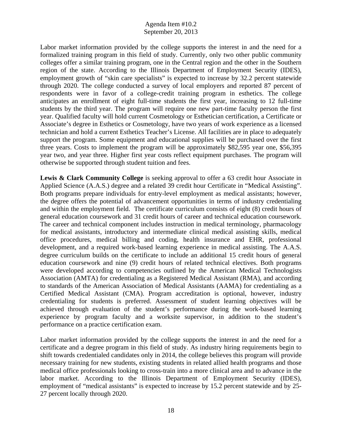Labor market information provided by the college supports the interest in and the need for a formalized training program in this field of study. Currently, only two other public community colleges offer a similar training program, one in the Central region and the other in the Southern region of the state. According to the Illinois Department of Employment Security (IDES), employment growth of "skin care specialists" is expected to increase by 32.2 percent statewide through 2020. The college conducted a survey of local employers and reported 87 percent of respondents were in favor of a college-credit training program in esthetics. The college anticipates an enrollment of eight full-time students the first year, increasing to 12 full-time students by the third year. The program will require one new part-time faculty person the first year. Qualified faculty will hold current Cosmetology or Esthetician certification, a Certificate or Associate's degree in Esthetics or Cosmetology, have two years of work experience as a licensed technician and hold a current Esthetics Teacher's License. All facilities are in place to adequately support the program. Some equipment and educational supplies will be purchased over the first three years. Costs to implement the program will be approximately \$82,595 year one, \$56,395 year two, and year three. Higher first year costs reflect equipment purchases. The program will otherwise be supported through student tuition and fees.

**Lewis & Clark Community College** is seeking approval to offer a 63 credit hour Associate in Applied Science (A.A.S.) degree and a related 39 credit hour Certificate in "Medical Assisting". Both programs prepare individuals for entry-level employment as medical assistants; however, the degree offers the potential of advancement opportunities in terms of industry credentialing and within the employment field. The certificate curriculum consists of eight (8) credit hours of general education coursework and 31 credit hours of career and technical education coursework. The career and technical component includes instruction in medical terminology, pharmacology for medical assistants, introductory and intermediate clinical medical assisting skills, medical office procedures, medical billing and coding, health insurance and EHR, professional development, and a required work-based learning experience in medical assisting. The A.A.S. degree curriculum builds on the certificate to include an additional 15 credit hours of general education coursework and nine (9) credit hours of related technical electives. Both programs were developed according to competencies outlined by the American Medical Technologists Association (AMTA) for credentialing as a Registered Medical Assistant (RMA), and according to standards of the American Association of Medical Assistants (AAMA) for credentialing as a Certified Medical Assistant (CMA). Program accreditation is optional, however, industry credentialing for students is preferred. Assessment of student learning objectives will be achieved through evaluation of the student's performance during the work-based learning experience by program faculty and a worksite supervisor, in addition to the student's performance on a practice certification exam.

Labor market information provided by the college supports the interest in and the need for a certificate and a degree program in this field of study. As industry hiring requirements begin to shift towards credentialed candidates only in 2014, the college believes this program will provide necessary training for new students, existing students in related allied health programs and those medical office professionals looking to cross-train into a more clinical area and to advance in the labor market. According to the Illinois Department of Employment Security (IDES), employment of "medical assistants" is expected to increase by 15.2 percent statewide and by 25-27 percent locally through 2020.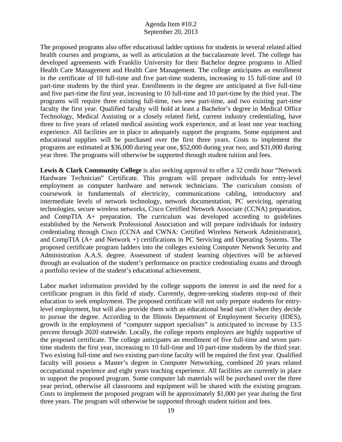The proposed programs also offer educational ladder options for students in several related allied health courses and programs, as well as articulation at the baccalaureate level. The college has developed agreements with Franklin University for their Bachelor degree programs in Allied Health Care Management and Health Care Management. The college anticipates an enrollment in the certificate of 10 full-time and five part-time students, increasing to 15 full-time and 10 part-time students by the third year. Enrollments in the degree are anticipated at five full-time and five part-time the first year, increasing to 10 full-time and 10 part-time by the third year. The programs will require three existing full-time, two new part-time, and two existing part-time faculty the first year. Qualified faculty will hold at least a Bachelor's degree in Medical Office Technology, Medical Assisting or a closely related field, current industry credentialing, have three to five years of related medical assisting work experience, and at least one year teaching experience. All facilities are in place to adequately support the programs. Some equipment and educational supplies will be purchased over the first three years. Costs to implement the programs are estimated at \$36,000 during year one, \$52,000 during year two, and \$31,000 during year three. The programs will otherwise be supported through student tuition and fees.

Lewis & Clark Community College is also seeking approval to offer a 32 credit hour "Network" Hardware Technician" Certificate. This program will prepare individuals for entry-level employment as computer hardware and network technicians. The curriculum consists of coursework in fundamentals of electricity, communications cabling, introductory and intermediate levels of network technology, network documentation, PC servicing, operating technologies, secure wireless networks, Cisco Certified Network Associate (CCNA) preparation, and CompTIA A+ preparation. The curriculum was developed according to guidelines established by the Network Professional Association and will prepare individuals for industry credentialing through Cisco (CCNA and CWNA: Certified Wireless Network Administrator), and CompTIA (A+ and Network +) certifications in PC Servicing and Operating Systems. The proposed certificate program ladders into the colleges existing Computer Network Security and Administration A.A.S. degree. Assessment of student learning objectives will be achieved through an evaluation of the student's performance on practice credentialing exams and through a portfolio review of the student's educational achievement.

Labor market information provided by the college supports the interest in and the need for a certificate program in this field of study. Currently, degree-seeking students stop-out of their education to seek employment. The proposed certificate will not only prepare students for entrylevel employment, but will also provide them with an educational head start if/when they decide to pursue the degree. According to the Illinois Department of Employment Security (IDES), growth in the employment of "computer support specialists" is anticipated to increase by 13.5 percent through 2020 statewide. Locally, the college reports employers are highly supportive of the proposed certificate. The college anticipates an enrollment of five full-time and seven parttime students the first year, increasing to 10 full-time and 10 part-time students by the third year. Two existing full-time and two existing part-time faculty will be required the first year. Qualified faculty will possess a Master's degree in Computer Networking, combined 20 years related occupational experience and eight years teaching experience. All facilities are currently in place to support the proposed program. Some computer lab materials will be purchased over the three year period, otherwise all classrooms and equipment will be shared with the existing program. Costs to implement the proposed program will be approximately \$1,000 per year during the first three years. The program will otherwise be supported through student tuition and fees.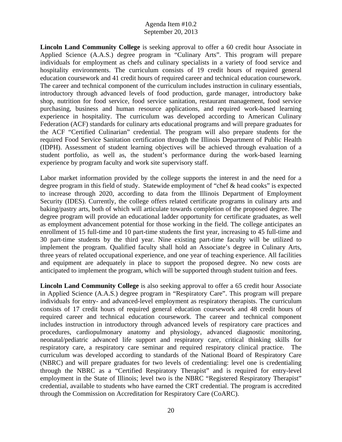**Lincoln Land Community College** is seeking approval to offer a 60 credit hour Associate in Applied Science (A.A.S.) degree program in "Culinary Arts". This program will prepare individuals for employment as chefs and culinary specialists in a variety of food service and hospitality environments. The curriculum consists of 19 credit hours of required general education coursework and 41 credit hours of required career and technical education coursework. The career and technical component of the curriculum includes instruction in culinary essentials, introductory through advanced levels of food production, garde manager, introductory bake shop, nutrition for food service, food service sanitation, restaurant management, food service purchasing, business and human resource applications, and required work-based learning experience in hospitality. The curriculum was developed according to American Culinary Federation (ACF) standards for culinary arts educational programs and will prepare graduates for the ACF "Certified Culinarian" credential. The program will also prepare students for the required Food Service Sanitation certification through the Illinois Department of Public Health (IDPH). Assessment of student learning objectives will be achieved through evaluation of a student portfolio, as well as, the student's performance during the work-based learning experience by program faculty and work site supervisory staff.

Labor market information provided by the college supports the interest in and the need for a degree program in this field of study. Statewide employment of "chef & head cooks" is expected to increase through 2020, according to data from the Illinois Department of Employment Security (IDES). Currently, the college offers related certificate programs in culinary arts and baking/pastry arts, both of which will articulate towards completion of the proposed degree. The degree program will provide an educational ladder opportunity for certificate graduates, as well as employment advancement potential for those working in the field. The college anticipates an enrollment of 15 full-time and 10 part-time students the first year, increasing to 45 full-time and 30 part-time students by the third year. Nine existing part-time faculty will be utilized to implement the program. Qualified faculty shall hold an Associate's degree in Culinary Arts, three years of related occupational experience, and one year of teaching experience. All facilities and equipment are adequately in place to support the proposed degree. No new costs are anticipated to implement the program, which will be supported through student tuition and fees.

**Lincoln Land Community College** is also seeking approval to offer a 65 credit hour Associate in Applied Science (A.A.S.) degree program in "Respiratory Care". This program will prepare individuals for entry- and advanced-level employment as respiratory therapists. The curriculum consists of 17 credit hours of required general education coursework and 48 credit hours of required career and technical education coursework. The career and technical component includes instruction in introductory through advanced levels of respiratory care practices and procedures, cardiopulmonary anatomy and physiology, advanced diagnostic monitoring, neonatal/pediatric advanced life support and respiratory care, critical thinking skills for respiratory care, a respiratory care seminar and required respiratory clinical practice. The curriculum was developed according to standards of the National Board of Respiratory Care (NBRC) and will prepare graduates for two levels of credentialing: level one is credentialing through the NBRC as a "Certified Respiratory Therapist" and is required for entry-level employment in the State of Illinois; level two is the NBRC "Registered Respiratory Therapist" credential, available to students who have earned the CRT credential. The program is accredited through the Commission on Accreditation for Respiratory Care (CoARC).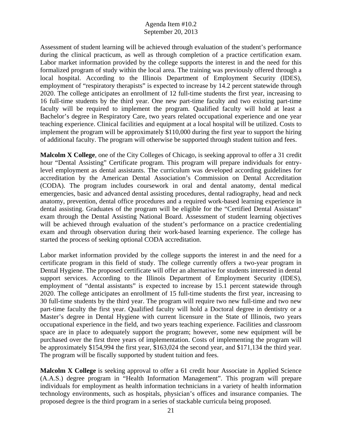Assessment of student learning will be achieved through evaluation of the student's performance during the clinical practicum, as well as through completion of a practice certification exam. Labor market information provided by the college supports the interest in and the need for this formalized program of study within the local area. The training was previously offered through a local hospital. According to the Illinois Department of Employment Security (IDES), employment of "respiratory therapists" is expected to increase by 14.2 percent statewide through 2020. The college anticipates an enrollment of 12 full-time students the first year, increasing to 16 full-time students by the third year. One new part-time faculty and two existing part-time faculty will be required to implement the program. Qualified faculty will hold at least a Bachelor's degree in Respiratory Care, two years related occupational experience and one year teaching experience. Clinical facilities and equipment at a local hospital will be utilized. Costs to implement the program will be approximately \$110,000 during the first year to support the hiring of additional faculty. The program will otherwise be supported through student tuition and fees.

**Malcolm X College**, one of the City Colleges of Chicago, is seeking approval to offer a 31 credit hour "Dental Assisting" Certificate program. This program will prepare individuals for entrylevel employment as dental assistants. The curriculum was developed according guidelines for accreditation by the American Dental Association's Commission on Dental Accreditation (CODA). The program includes coursework in oral and dental anatomy, dental medical emergencies, basic and advanced dental assisting procedures, dental radiography, head and neck anatomy, prevention, dental office procedures and a required work-based learning experience in dental assisting. Graduates of the program will be eligible for the "Certified Dental Assistant" exam through the Dental Assisting National Board. Assessment of student learning objectives will be achieved through evaluation of the student's performance on a practice credentialing exam and through observation during their work-based learning experience. The college has started the process of seeking optional CODA accreditation.

Labor market information provided by the college supports the interest in and the need for a certificate program in this field of study. The college currently offers a two-year program in Dental Hygiene. The proposed certificate will offer an alternative for students interested in dental support services. According to the Illinois Department of Employment Security (IDES), employment of "dental assistants" is expected to increase by 15.1 percent statewide through 2020. The college anticipates an enrollment of 15 full-time students the first year, increasing to 30 full-time students by the third year. The program will require two new full-time and two new part-time faculty the first year. Qualified faculty will hold a Doctoral degree in dentistry or a Master's degree in Dental Hygiene with current licensure in the State of Illinois, two years occupational experience in the field, and two years teaching experience. Facilities and classroom space are in place to adequately support the program; however, some new equipment will be purchased over the first three years of implementation. Costs of implementing the program will be approximately \$154,994 the first year, \$163,024 the second year, and \$171,134 the third year. The program will be fiscally supported by student tuition and fees.

**Malcolm X College** is seeking approval to offer a 61 credit hour Associate in Applied Science (A.A.S.) degree program in "Health Information Management". This program will prepare individuals for employment as health information technicians in a variety of health information technology environments, such as hospitals, physician's offices and insurance companies. The proposed degree is the third program in a series of stackable curricula being proposed.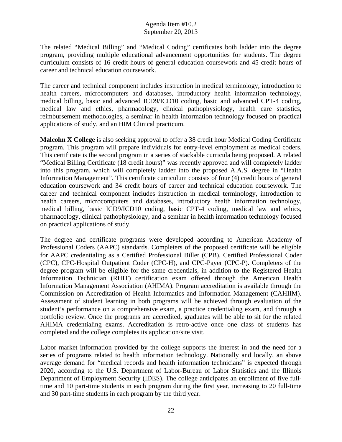The related "Medical Billing" and "Medical Coding" certificates both ladder into the degree program, providing multiple educational advancement opportunities for students. The degree curriculum consists of 16 credit hours of general education coursework and 45 credit hours of career and technical education coursework.

The career and technical component includes instruction in medical terminology, introduction to health careers, microcomputers and databases, introductory health information technology, medical billing, basic and advanced ICD9/ICD10 coding, basic and advanced CPT-4 coding, medical law and ethics, pharmacology, clinical pathophysiology, health care statistics, reimbursement methodologies, a seminar in health information technology focused on practical applications of study, and an HIM Clinical practicum.

**Malcolm X College** is also seeking approval to offer a 38 credit hour Medical Coding Certificate program. This program will prepare individuals for entry-level employment as medical coders. This certificate is the second program in a series of stackable curricula being proposed. A related "Medical Billing Certificate (18 credit hours)" was recently approved and will completely ladder into this program, which will completely ladder into the proposed A.A.S. degree in "Health Information Management". This certificate curriculum consists of four (4) credit hours of general education coursework and 34 credit hours of career and technical education coursework. The career and technical component includes instruction in medical terminology, introduction to health careers, microcomputers and databases, introductory health information technology, medical billing, basic ICD9/ICD10 coding, basic CPT-4 coding, medical law and ethics, pharmacology, clinical pathophysiology, and a seminar in health information technology focused on practical applications of study.

The degree and certificate programs were developed according to American Academy of Professional Coders (AAPC) standards. Completers of the proposed certificate will be eligible for AAPC credentialing as a Certified Professional Biller (CPB), Certified Professional Coder (CPC), CPC-Hospital Outpatient Coder (CPC-H), and CPC-Payer (CPC-P). Completers of the degree program will be eligible for the same credentials, in addition to the Registered Health Information Technician (RHIT) certification exam offered through the American Health Information Management Association (AHIMA). Program accreditation is available through the Commission on Accreditation of Health Informatics and Information Management (CAHIIM). Assessment of student learning in both programs will be achieved through evaluation of the student's performance on a comprehensive exam, a practice credentialing exam, and through a portfolio review. Once the programs are accredited, graduates will be able to sit for the related AHIMA credentialing exams. Accreditation is retro-active once one class of students has completed and the college completes its application/site visit.

Labor market information provided by the college supports the interest in and the need for a series of programs related to health information technology. Nationally and locally, an above average demand for "medical records and health information technicians" is expected through 2020, according to the U.S. Department of Labor-Bureau of Labor Statistics and the Illinois Department of Employment Security (IDES). The college anticipates an enrollment of five fulltime and 10 part-time students in each program during the first year, increasing to 20 full-time and 30 part-time students in each program by the third year.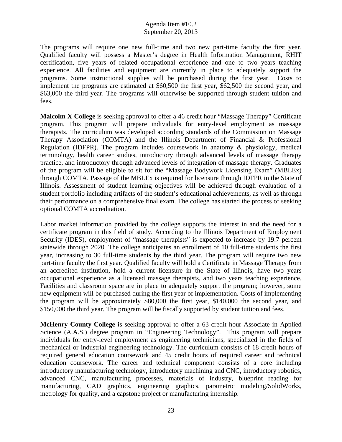The programs will require one new full-time and two new part-time faculty the first year. Qualified faculty will possess a Master's degree in Health Information Management, RHIT certification, five years of related occupational experience and one to two years teaching experience. All facilities and equipment are currently in place to adequately support the programs. Some instructional supplies will be purchased during the first year. Costs to implement the programs are estimated at \$60,500 the first year, \$62,500 the second year, and \$63,000 the third year. The programs will otherwise be supported through student tuition and fees.

**Malcolm X College** is seeking approval to offer a 46 credit hour "Massage Therapy" Certificate program. This program will prepare individuals for entry-level employment as massage therapists. The curriculum was developed according standards of the Commission on Massage Therapy Association (COMTA) and the Illinois Department of Financial & Professional Regulation (IDFPR). The program includes coursework in anatomy & physiology, medical terminology, health career studies, introductory through advanced levels of massage therapy practice, and introductory through advanced levels of integration of massage therapy. Graduates of the program will be eligible to sit for the "Massage Bodywork Licensing Exam" (MBLEx) through COMTA. Passage of the MBLEx is required for licensure through IDFPR in the State of Illinois. Assessment of student learning objectives will be achieved through evaluation of a student portfolio including artifacts of the student's educational achievements, as well as through their performance on a comprehensive final exam. The college has started the process of seeking optional COMTA accreditation.

Labor market information provided by the college supports the interest in and the need for a certificate program in this field of study. According to the Illinois Department of Employment Security (IDES), employment of "massage therapists" is expected to increase by 19.7 percent statewide through 2020. The college anticipates an enrollment of 10 full-time students the first year, increasing to 30 full-time students by the third year. The program will require two new part-time faculty the first year. Qualified faculty will hold a Certificate in Massage Therapy from an accredited institution, hold a current licensure in the State of Illinois, have two years occupational experience as a licensed massage therapists, and two years teaching experience. Facilities and classroom space are in place to adequately support the program; however, some new equipment will be purchased during the first year of implementation. Costs of implementing the program will be approximately \$80,000 the first year, \$140,000 the second year, and \$150,000 the third year. The program will be fiscally supported by student tuition and fees.

**McHenry County College** is seeking approval to offer a 63 credit hour Associate in Applied Science (A.A.S.) degree program in "Engineering Technology". This program will prepare individuals for entry-level employment as engineering technicians, specialized in the fields of mechanical or industrial engineering technology. The curriculum consists of 18 credit hours of required general education coursework and 45 credit hours of required career and technical education coursework. The career and technical component consists of a core including introductory manufacturing technology, introductory machining and CNC, introductory robotics, advanced CNC, manufacturing processes, materials of industry, blueprint reading for manufacturing, CAD graphics, engineering graphics, parametric modeling/SolidWorks, metrology for quality, and a capstone project or manufacturing internship.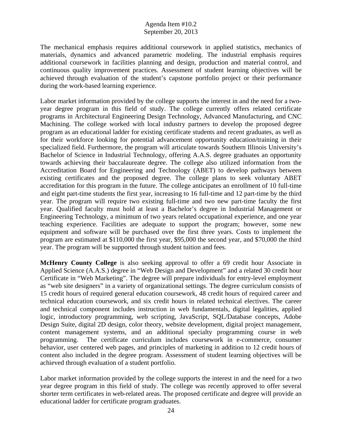The mechanical emphasis requires additional coursework in applied statistics, mechanics of materials, dynamics and advanced parametric modeling. The industrial emphasis requires additional coursework in facilities planning and design, production and material control, and continuous quality improvement practices. Assessment of student learning objectives will be achieved through evaluation of the student's capstone portfolio project or their performance during the work-based learning experience.

Labor market information provided by the college supports the interest in and the need for a twoyear degree program in this field of study. The college currently offers related certificate programs in Architectural Engineering Design Technology, Advanced Manufacturing, and CNC Machining. The college worked with local industry partners to develop the proposed degree program as an educational ladder for existing certificate students and recent graduates, as well as for their workforce looking for potential advancement opportunity education/training in their specialized field. Furthermore, the program will articulate towards Southern Illinois University's Bachelor of Science in Industrial Technology, offering A.A.S. degree graduates an opportunity towards achieving their baccalaureate degree. The college also utilized information from the Accreditation Board for Engineering and Technology (ABET) to develop pathways between existing certificates and the proposed degree. The college plans to seek voluntary ABET accreditation for this program in the future. The college anticipates an enrollment of 10 full-time and eight part-time students the first year, increasing to 16 full-time and 12 part-time by the third year. The program will require two existing full-time and two new part-time faculty the first year. Qualified faculty must hold at least a Bachelor's degree in Industrial Management or Engineering Technology, a minimum of two years related occupational experience, and one year teaching experience. Facilities are adequate to support the program; however, some new equipment and software will be purchased over the first three years. Costs to implement the program are estimated at \$110,000 the first year, \$95,000 the second year, and \$70,000 the third year. The program will be supported through student tuition and fees.

**McHenry County College** is also seeking approval to offer a 69 credit hour Associate in Applied Science (A.A.S.) degree in "Web Design and Development" and a related 30 credit hour Certificate in "Web Marketing". The degree will prepare individuals for entry-level employment as "web site designers" in a variety of organizational settings. The degree curriculum consists of 15 credit hours of required general education coursework, 48 credit hours of required career and technical education coursework, and six credit hours in related technical electives. The career and technical component includes instruction in web fundamentals, digital legalities, applied logic, introductory programming, web scripting, JavaScript, SQL/Database concepts, Adobe Design Suite, digital 2D design, color theory, website development, digital project management, content management systems, and an additional specialty programming course in web programming. The certificate curriculum includes coursework in e-commerce, consumer behavior, user centered web pages, and principles of marketing in addition to 12 credit hours of content also included in the degree program. Assessment of student learning objectives will be achieved through evaluation of a student portfolio.

Labor market information provided by the college supports the interest in and the need for a two year degree program in this field of study. The college was recently approved to offer several shorter term certificates in web-related areas. The proposed certificate and degree will provide an educational ladder for certificate program graduates.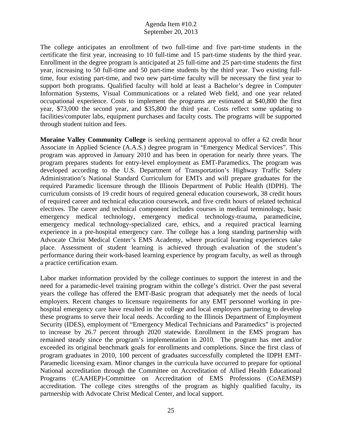The college anticipates an enrollment of two full-time and five part-time students in the certificate the first year, increasing to 10 full-time and 15 part-time students by the third year. Enrollment in the degree program is anticipated at 25 full-time and 25 part-time students the first year, increasing to 50 full-time and 50 part-time students by the third year. Two existing fulltime, four existing part-time, and two new part-time faculty will be necessary the first year to support both programs. Qualified faculty will hold at least a Bachelor's degree in Computer Information Systems, Visual Communications or a related Web field, and one year related occupational experience. Costs to implement the programs are estimated at \$40,800 the first year, \$73,000 the second year, and \$35,800 the third year. Costs reflect some updating to facilities/computer labs, equipment purchases and faculty costs. The programs will be supported through student tuition and fees.

**Moraine Valley Community College** is seeking permanent approval to offer a 62 credit hour Associate in Applied Science (A.A.S.) degree program in "Emergency Medical Services". This program was approved in January 2010 and has been in operation for nearly three years. The program prepares students for entry-level employment as EMT-Paramedics. The program was developed according to the U.S. Department of Transportation's Highway Traffic Safety Administration's National Standard Curriculum for EMTs and will prepare graduates for the required Paramedic licensure through the Illinois Department of Public Health (IDPH). The curriculum consists of 19 credit hours of required general education coursework, 38 credit hours of required career and technical education coursework, and five credit hours of related technical electives. The career and technical component includes courses in medical terminology, basic emergency medical technology, emergency medical technology-trauma, paramedicine, emergency medical technology-specialized care, ethics, and a required practical learning experience in a pre-hospital emergency care. The college has a long standing partnership with Advocate Christ Medical Center's EMS Academy, where practical learning experiences take place. Assessment of student learning is achieved through evaluation of the student's performance during their work-based learning experience by program faculty, as well as through a practice certification exam.

Labor market information provided by the college continues to support the interest in and the need for a paramedic-level training program within the college's district. Over the past several years the college has offered the EMT-Basic program that adequately met the needs of local employers. Recent changes to licensure requirements for any EMT personnel working in prehospital emergency care have resulted in the college and local employers partnering to develop these programs to serve their local needs. According to the Illinois Department of Employment Security (IDES), employment of "Emergency Medical Technicians and Paramedics" is projected to increase by 26.7 percent through 2020 statewide. Enrollment in the EMS program has remained steady since the program's implementation in 2010. The program has met and/or exceeded its original benchmark goals for enrollments and completions. Since the first class of program graduates in 2010, 100 percent of graduates successfully completed the IDPH EMT-Paramedic licensing exam. Minor changes in the curricula have occurred to prepare for optional National accreditation through the Committee on Accreditation of Allied Health Educational Programs (CAAHEP)-Committee on Accreditation of EMS Professions (CoAEMSP) accreditation. The college cites strengths of the program as highly qualified faculty, its partnership with Advocate Christ Medical Center, and local support.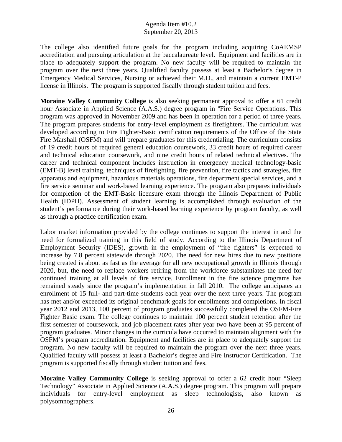The college also identified future goals for the program including acquiring CoAEMSP accreditation and pursuing articulation at the baccalaureate level. Equipment and facilities are in place to adequately support the program. No new faculty will be required to maintain the program over the next three years. Qualified faculty possess at least a Bachelor's degree in Emergency Medical Services, Nursing or achieved their M.D., and maintain a current EMT-P license in Illinois. The program is supported fiscally through student tuition and fees.

**Moraine Valley Community College** is also seeking permanent approval to offer a 61 credit hour Associate in Applied Science (A.A.S.) degree program in "Fire Service Operations. This program was approved in November 2009 and has been in operation for a period of three years. The program prepares students for entry-level employment as firefighters. The curriculum was developed according to Fire Fighter-Basic certification requirements of the Office of the State Fire Marshall (OSFM) and will prepare graduates for this credentialing. The curriculum consists of 19 credit hours of required general education coursework, 33 credit hours of required career and technical education coursework, and nine credit hours of related technical electives. The career and technical component includes instruction in emergency medical technology-basic (EMT-B) level training, techniques of firefighting, fire prevention, fire tactics and strategies, fire apparatus and equipment, hazardous materials operations, fire department special services, and a fire service seminar and work-based learning experience. The program also prepares individuals for completion of the EMT-Basic licensure exam through the Illinois Department of Public Health (IDPH). Assessment of student learning is accomplished through evaluation of the student's performance during their work-based learning experience by program faculty, as well as through a practice certification exam.

Labor market information provided by the college continues to support the interest in and the need for formalized training in this field of study. According to the Illinois Department of Employment Security (IDES), growth in the employment of "fire fighters" is expected to increase by 7.8 percent statewide through 2020. The need for new hires due to new positions being created is about as fast as the average for all new occupational growth in Illinois through 2020, but, the need to replace workers retiring from the workforce substantiates the need for continued training at all levels of fire service. Enrollment in the fire science programs has remained steady since the program's implementation in fall 2010. The college anticipates an enrollment of 15 full- and part-time students each year over the next three years. The program has met and/or exceeded its original benchmark goals for enrollments and completions. In fiscal year 2012 and 2013, 100 percent of program graduates successfully completed the OSFM-Fire Fighter Basic exam. The college continues to maintain 100 percent student retention after the first semester of coursework, and job placement rates after year two have been at 95 percent of program graduates. Minor changes in the curricula have occurred to maintain alignment with the OSFM's program accreditation. Equipment and facilities are in place to adequately support the program. No new faculty will be required to maintain the program over the next three years. Qualified faculty will possess at least a Bachelor's degree and Fire Instructor Certification. The program is supported fiscally through student tuition and fees.

**Moraine Valley Community College** is seeking approval to offer a 62 credit hour "Sleep Technology" Associate in Applied Science (A.A.S.) degree program. This program will prepare individuals for entry-level employment as sleep technologists, also known as polysomnographers.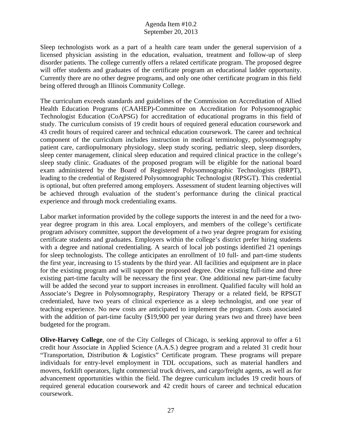Sleep technologists work as a part of a health care team under the general supervision of a licensed physician assisting in the education, evaluation, treatment and follow-up of sleep disorder patients. The college currently offers a related certificate program. The proposed degree will offer students and graduates of the certificate program an educational ladder opportunity. Currently there are no other degree programs, and only one other certificate program in this field being offered through an Illinois Community College.

The curriculum exceeds standards and guidelines of the Commission on Accreditation of Allied Health Education Programs (CAAHEP)-Committee on Accreditation for Polysomnographic Technologist Education (CoAPSG) for accreditation of educational programs in this field of study. The curriculum consists of 19 credit hours of required general education coursework and 43 credit hours of required career and technical education coursework. The career and technical component of the curriculum includes instruction in medical terminology, polysomnography patient care, cardiopulmonary physiology, sleep study scoring, pediatric sleep, sleep disorders, sleep center management, clinical sleep education and required clinical practice in the college's sleep study clinic. Graduates of the proposed program will be eligible for the national board exam administered by the Board of Registered Polysomnographic Technologists (BRPT), leading to the credential of Registered Polysomnographic Technologist (RPSGT). This credential is optional, but often preferred among employers. Assessment of student learning objectives will be achieved through evaluation of the student's performance during the clinical practical experience and through mock credentialing exams.

Labor market information provided by the college supports the interest in and the need for a twoyear degree program in this area. Local employers, and members of the college's certificate program advisory committee, support the development of a two year degree program for existing certificate students and graduates. Employers within the college's district prefer hiring students with a degree and national credentialing. A search of local job postings identified 21 openings for sleep technologists. The college anticipates an enrollment of 10 full- and part-time students the first year, increasing to 15 students by the third year. All facilities and equipment are in place for the existing program and will support the proposed degree. One existing full-time and three existing part-time faculty will be necessary the first year. One additional new part-time faculty will be added the second year to support increases in enrollment. Qualified faculty will hold an Associate's Degree in Polysomnography, Respiratory Therapy or a related field, be RPSGT credentialed, have two years of clinical experience as a sleep technologist, and one year of teaching experience. No new costs are anticipated to implement the program. Costs associated with the addition of part-time faculty (\$19,900 per year during years two and three) have been budgeted for the program.

**Olive-Harvey College**, one of the City Colleges of Chicago, is seeking approval to offer a 61 credit hour Associate in Applied Science (A.A.S.) degree program and a related 31 credit hour "Transportation, Distribution & Logistics" Certificate program. These programs will prepare individuals for entry-level employment in TDL occupations, such as material handlers and movers, forklift operators, light commercial truck drivers, and cargo/freight agents, as well as for advancement opportunities within the field. The degree curriculum includes 19 credit hours of required general education coursework and 42 credit hours of career and technical education coursework.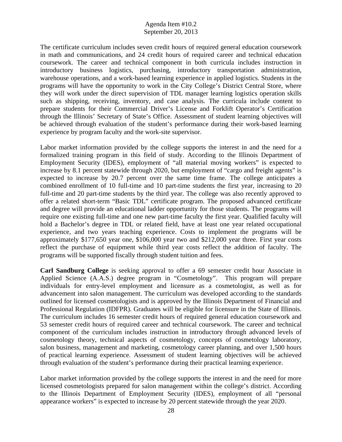The certificate curriculum includes seven credit hours of required general education coursework in math and communications, and 24 credit hours of required career and technical education coursework. The career and technical component in both curricula includes instruction in introductory business logistics, purchasing, introductory transportation administration, warehouse operations, and a work-based learning experience in applied logistics. Students in the programs will have the opportunity to work in the City College's District Central Store, where they will work under the direct supervision of TDL manager learning logistics operation skills such as shipping, receiving, inventory, and case analysis. The curricula include content to prepare students for their Commercial Driver's License and Forklift Operator's Certification through the Illinois' Secretary of State's Office. Assessment of student learning objectives will be achieved through evaluation of the student's performance during their work-based learning experience by program faculty and the work-site supervisor.

Labor market information provided by the college supports the interest in and the need for a formalized training program in this field of study. According to the Illinois Department of Employment Security (IDES), employment of "all material moving workers" is expected to increase by 8.1 percent statewide through 2020, but employment of "cargo and freight agents" is expected to increase by 20.7 percent over the same time frame. The college anticipates a combined enrollment of 10 full-time and 10 part-time students the first year, increasing to 20 full-time and 20 part-time students by the third year. The college was also recently approved to offer a related short-term "Basic TDL" certificate program. The proposed advanced certificate and degree will provide an educational ladder opportunity for those students. The programs will require one existing full-time and one new part-time faculty the first year. Qualified faculty will hold a Bachelor's degree in TDL or related field, have at least one year related occupational experience, and two years teaching experience. Costs to implement the programs will be approximately \$177,650 year one, \$106,000 year two and \$212,000 year three. First year costs reflect the purchase of equipment while third year costs reflect the addition of faculty. The programs will be supported fiscally through student tuition and fees.

**Carl Sandburg College** is seeking approval to offer a 69 semester credit hour Associate in Applied Science (A.A.S.) degree program in "Cosmetology". This program will prepare individuals for entry-level employment and licensure as a cosmetologist, as well as for advancement into salon management. The curriculum was developed according to the standards outlined for licensed cosmetologists and is approved by the Illinois Department of Financial and Professional Regulation (IDFPR). Graduates will be eligible for licensure in the State of Illinois. The curriculum includes 16 semester credit hours of required general education coursework and 53 semester credit hours of required career and technical coursework. The career and technical component of the curriculum includes instruction in introductory through advanced levels of cosmetology theory, technical aspects of cosmetology, concepts of cosmetology laboratory, salon business, management and marketing, cosmetology career planning, and over 1,500 hours of practical learning experience. Assessment of student learning objectives will be achieved through evaluation of the student's performance during their practical learning experience.

Labor market information provided by the college supports the interest in and the need for more licensed cosmetologists prepared for salon management within the college's district. According to the Illinois Department of Employment Security (IDES), employment of all "personal appearance workers" is expected to increase by 20 percent statewide through the year 2020.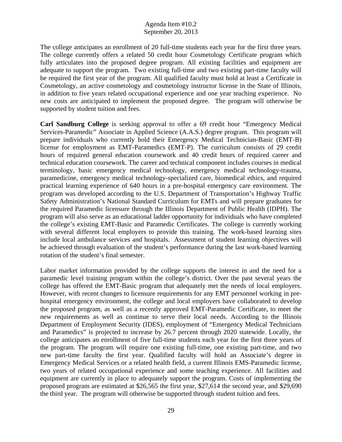The college anticipates an enrollment of 20 full-time students each year for the first three years. The college currently offers a related 50 credit hour Cosmetology Certificate program which fully articulates into the proposed degree program. All existing facilities and equipment are adequate to support the program. Two existing full-time and two existing part-time faculty will be required the first year of the program. All qualified faculty must hold at least a Certificate in Cosmetology, an active cosmetology and cosmetology instructor license in the State of Illinois, in addition to five years related occupational experience and one year teaching experience. No new costs are anticipated to implement the proposed degree. The program will otherwise be supported by student tuition and fees.

**Carl Sandburg College** is seeking approval to offer a 69 credit hour "Emergency Medical Services-Paramedic" Associate in Applied Science (A.A.S.) degree program. This program will prepare individuals who currently hold their Emergency Medical Technician-Basic (EMT-B) license for employment as EMT-Paramedics (EMT-P). The curriculum consists of 29 credit hours of required general education coursework and 40 credit hours of required career and technical education coursework. The career and technical component includes courses in medical terminology, basic emergency medical technology, emergency medical technology-trauma, paramedicine, emergency medical technology-specialized care, biomedical ethics, and required practical learning experience of 640 hours in a pre-hospital emergency care environment. The program was developed according to the U.S. Department of Transportation's Highway Traffic Safety Administration's National Standard Curriculum for EMTs and will prepare graduates for the required Paramedic licensure through the Illinois Department of Public Health (IDPH). The program will also serve as an educational ladder opportunity for individuals who have completed the college's existing EMT-Basic and Paramedic Certificates. The college is currently working with several different local employers to provide this training. The work-based learning sites include local ambulance services and hospitals. Assessment of student learning objectives will be achieved through evaluation of the student's performance during the last work-based learning rotation of the student's final semester.

Labor market information provided by the college supports the interest in and the need for a paramedic level training program within the college's district. Over the past several years the college has offered the EMT-Basic program that adequately met the needs of local employers. However, with recent changes to licensure requirements for any EMT personnel working in prehospital emergency environment, the college and local employers have collaborated to develop the proposed program, as well as a recently approved EMT-Paramedic Certificate, to meet the new requirements as well as continue to serve their local needs. According to the Illinois Department of Employment Security (IDES), employment of "Emergency Medical Technicians and Paramedics" is projected to increase by 26.7 percent through 2020 statewide. Locally, the college anticipates an enrollment of five full-time students each year for the first three years of the program. The program will require one existing full-time, one existing part-time, and two new part-time faculty the first year. Qualified faculty will hold an Associate's degree in Emergency Medical Services or a related health field, a current Illinois EMS-Paramedic license, two years of related occupational experience and some teaching experience. All facilities and equipment are currently in place to adequately support the program. Costs of implementing the proposed program are estimated at \$26,565 the first year, \$27,614 the second year, and \$29,690 the third year. The program will otherwise be supported through student tuition and fees.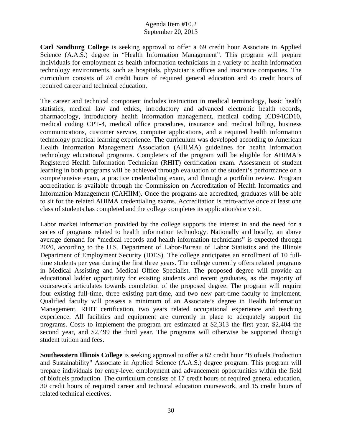**Carl Sandburg College** is seeking approval to offer a 69 credit hour Associate in Applied Science (A.A.S.) degree in "Health Information Management". This program will prepare individuals for employment as health information technicians in a variety of health information technology environments, such as hospitals, physician's offices and insurance companies. The curriculum consists of 24 credit hours of required general education and 45 credit hours of required career and technical education.

The career and technical component includes instruction in medical terminology, basic health statistics, medical law and ethics, introductory and advanced electronic health records, pharmacology, introductory health information management, medical coding ICD9/ICD10, medical coding CPT-4, medical office procedures, insurance and medical billing, business communications, customer service, computer applications, and a required health information technology practical learning experience. The curriculum was developed according to American Health Information Management Association (AHIMA) guidelines for health information technology educational programs. Completers of the program will be eligible for AHIMA's Registered Health Information Technician (RHIT) certification exam. Assessment of student learning in both programs will be achieved through evaluation of the student's performance on a comprehensive exam, a practice credentialing exam, and through a portfolio review. Program accreditation is available through the Commission on Accreditation of Health Informatics and Information Management (CAHIIM). Once the programs are accredited, graduates will be able to sit for the related AHIMA credentialing exams. Accreditation is retro-active once at least one class of students has completed and the college completes its application/site visit.

Labor market information provided by the college supports the interest in and the need for a series of programs related to health information technology. Nationally and locally, an above average demand for "medical records and health information technicians" is expected through 2020, according to the U.S. Department of Labor-Bureau of Labor Statistics and the Illinois Department of Employment Security (IDES). The college anticipates an enrollment of 10 fulltime students per year during the first three years. The college currently offers related programs in Medical Assisting and Medical Office Specialist. The proposed degree will provide an educational ladder opportunity for existing students and recent graduates, as the majority of coursework articulates towards completion of the proposed degree. The program will require four existing full-time, three existing part-time, and two new part-time faculty to implement. Qualified faculty will possess a minimum of an Associate's degree in Health Information Management, RHIT certification, two years related occupational experience and teaching experience. All facilities and equipment are currently in place to adequately support the programs. Costs to implement the program are estimated at \$2,313 the first year, \$2,404 the second year, and \$2,499 the third year. The programs will otherwise be supported through student tuition and fees.

**Southeastern Illinois College** is seeking approval to offer a 62 credit hour "Biofuels Production and Sustainability" Associate in Applied Science (A.A.S.) degree program. This program will prepare individuals for entry-level employment and advancement opportunities within the field of biofuels production. The curriculum consists of 17 credit hours of required general education, 30 credit hours of required career and technical education coursework, and 15 credit hours of related technical electives.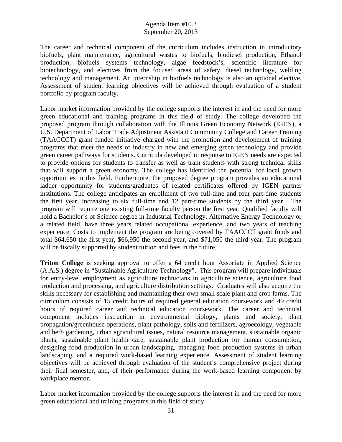The career and technical component of the curriculum includes instruction in introductory biofuels, plant maintenance, agricultural wastes to biofuels, biodiesel production, Ethanol production, biofuels systems technology, algae feedstock's, scientific literature for biotechnology, and electives from the focused areas of safety, diesel technology, welding technology and management. An internship in biofuels technology is also an optional elective. Assessment of student learning objectives will be achieved through evaluation of a student portfolio by program faculty.

Labor market information provided by the college supports the interest in and the need for more green educational and training programs in this field of study. The college developed the proposed program through collaboration with the Illinois Green Economy Network (IGEN), a U.S. Department of Labor Trade Adjustment Assistant Community College and Career Training (TAACCCT) grant funded initiative charged with the promotion and development of training programs that meet the needs of industry in new and emerging green technology and provide green career pathways for students. Curricula developed in response to IGEN needs are expected to provide options for students to transfer as well as train students with strong technical skills that will support a green economy. The college has identified the potential for local growth opportunities in this field. Furthermore, the proposed degree program provides an educational ladder opportunity for students/graduates of related certificates offered by IGEN partner institutions. The college anticipates an enrollment of two full-time and four part-time students the first year, increasing to six full-time and 12 part-time students by the third year. The program will require one existing full-time faculty person the first year. Qualified faculty will hold a Bachelor's of Science degree in Industrial Technology, Alternative Energy Technology or a related field, have three years related occupational experience, and two years of teaching experience. Costs to implement the program are being covered by TAACCCT grant funds and total \$64,650 the first year, \$66,950 the second year, and \$71,050 the third year. The program will be fiscally supported by student tuition and fees in the future.

**Triton College** is seeking approval to offer a 64 credit hour Associate in Applied Science (A.A.S.) degree in "Sustainable Agriculture Technology". This program will prepare individuals for entry-level employment as agriculture technicians in agriculture science, agriculture food production and processing, and agriculture distribution settings. Graduates will also acquire the skills necessary for establishing and maintaining their own small scale plant and crop farms. The curriculum consists of 15 credit hours of required general education coursework and 49 credit hours of required career and technical education coursework. The career and technical component includes instruction in environmental biology, plants and society, plant propagation/greenhouse operations, plant pathology, soils and fertilizers, agroecology, vegetable and herb gardening, urban agricultural issues, natural resource management, sustainable organic plants, sustainable plant health care, sustainable plant production for human consumption, designing food production in urban landscaping, managing food production systems in urban landscaping, and a required work-based learning experience. Assessment of student learning objectives will be achieved through evaluation of the student's comprehensive project during their final semester, and, of their performance during the work-based learning component by workplace mentor.

Labor market information provided by the college supports the interest in and the need for more green educational and training programs in this field of study.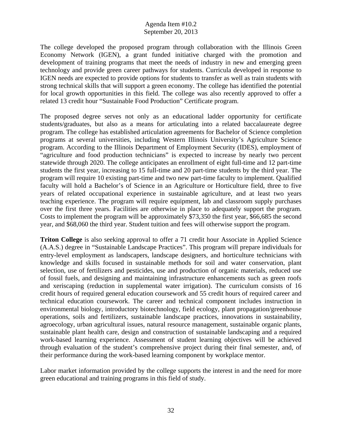The college developed the proposed program through collaboration with the Illinois Green Economy Network (IGEN), a grant funded initiative charged with the promotion and development of training programs that meet the needs of industry in new and emerging green technology and provide green career pathways for students. Curricula developed in response to IGEN needs are expected to provide options for students to transfer as well as train students with strong technical skills that will support a green economy. The college has identified the potential for local growth opportunities in this field. The college was also recently approved to offer a related 13 credit hour "Sustainable Food Production" Certificate program.

The proposed degree serves not only as an educational ladder opportunity for certificate students/graduates, but also as a means for articulating into a related baccalaureate degree program. The college has established articulation agreements for Bachelor of Science completion programs at several universities, including Western Illinois University's Agriculture Science program. According to the Illinois Department of Employment Security (IDES), employment of "agriculture and food production technicians" is expected to increase by nearly two percent statewide through 2020. The college anticipates an enrollment of eight full-time and 12 part-time students the first year, increasing to 15 full-time and 20 part-time students by the third year. The program will require 10 existing part-time and two new part-time faculty to implement. Qualified faculty will hold a Bachelor's of Science in an Agriculture or Horticulture field, three to five years of related occupational experience in sustainable agriculture, and at least two years teaching experience. The program will require equipment, lab and classroom supply purchases over the first three years. Facilities are otherwise in place to adequately support the program. Costs to implement the program will be approximately \$73,350 the first year, \$66,685 the second year, and \$68,060 the third year. Student tuition and fees will otherwise support the program.

**Triton College** is also seeking approval to offer a 71 credit hour Associate in Applied Science (A.A.S.) degree in "Sustainable Landscape Practices". This program will prepare individuals for entry-level employment as landscapers, landscape designers, and horticulture technicians with knowledge and skills focused in sustainable methods for soil and water conservation, plant selection, use of fertilizers and pesticides, use and production of organic materials, reduced use of fossil fuels, and designing and maintaining infrastructure enhancements such as green roofs and xeriscaping (reduction in supplemental water irrigation). The curriculum consists of 16 credit hours of required general education coursework and 55 credit hours of required career and technical education coursework. The career and technical component includes instruction in environmental biology, introductory biotechnology, field ecology, plant propagation/greenhouse operations, soils and fertilizers, sustainable landscape practices, innovations in sustainability, agroecology, urban agricultural issues, natural resource management, sustainable organic plants, sustainable plant health care, design and construction of sustainable landscaping and a required work-based learning experience. Assessment of student learning objectives will be achieved through evaluation of the student's comprehensive project during their final semester, and, of their performance during the work-based learning component by workplace mentor.

Labor market information provided by the college supports the interest in and the need for more green educational and training programs in this field of study.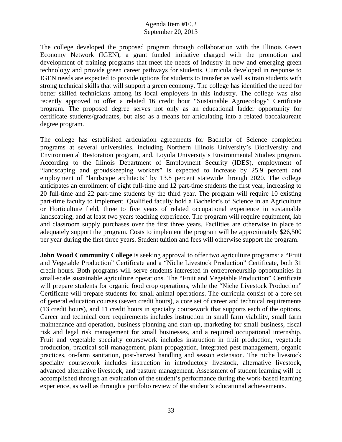The college developed the proposed program through collaboration with the Illinois Green Economy Network (IGEN), a grant funded initiative charged with the promotion and development of training programs that meet the needs of industry in new and emerging green technology and provide green career pathways for students. Curricula developed in response to IGEN needs are expected to provide options for students to transfer as well as train students with strong technical skills that will support a green economy. The college has identified the need for better skilled technicians among its local employers in this industry. The college was also recently approved to offer a related 16 credit hour "Sustainable Agroecology" Certificate program. The proposed degree serves not only as an educational ladder opportunity for certificate students/graduates, but also as a means for articulating into a related baccalaureate degree program.

The college has established articulation agreements for Bachelor of Science completion programs at several universities, including Northern Illinois University's Biodiversity and Environmental Restoration program, and, Loyola University's Environmental Studies program. According to the Illinois Department of Employment Security (IDES), employment of "landscaping and groudskeeping workers" is expected to increase by 25.9 percent and employment of "landscape architects" by 13.8 percent statewide through 2020. The college anticipates an enrollment of eight full-time and 12 part-time students the first year, increasing to 20 full-time and 22 part-time students by the third year. The program will require 10 existing part-time faculty to implement. Qualified faculty hold a Bachelor's of Science in an Agriculture or Horticulture field, three to five years of related occupational experience in sustainable landscaping, and at least two years teaching experience. The program will require equipment, lab and classroom supply purchases over the first three years. Facilities are otherwise in place to adequately support the program. Costs to implement the program will be approximately \$26,500 per year during the first three years. Student tuition and fees will otherwise support the program.

**John Wood Community College** is seeking approval to offer two agriculture programs: a "Fruit" and Vegetable Production" Certificate and a "Niche Livestock Production" Certificate, both 31 credit hours. Both programs will serve students interested in entrepreneurship opportunities in small-scale sustainable agriculture operations. The "Fruit and Vegetable Production" Certificate will prepare students for organic food crop operations, while the "Niche Livestock Production" Certificate will prepare students for small animal operations. The curricula consist of a core set of general education courses (seven credit hours), a core set of career and technical requirements (13 credit hours), and 11 credit hours in specialty coursework that supports each of the options. Career and technical core requirements includes instruction in small farm viability, small farm maintenance and operation, business planning and start-up, marketing for small business, fiscal risk and legal risk management for small businesses, and a required occupational internship. Fruit and vegetable specialty coursework includes instruction in fruit production, vegetable production, practical soil management, plant propagation, integrated pest management, organic practices, on-farm sanitation, post-harvest handling and season extension. The niche livestock specialty coursework includes instruction in introductory livestock, alternative livestock, advanced alternative livestock, and pasture management. Assessment of student learning will be accomplished through an evaluation of the student's performance during the work-based learning experience, as well as through a portfolio review of the student's educational achievements.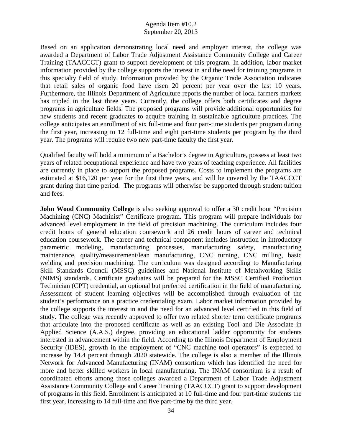Based on an application demonstrating local need and employer interest, the college was awarded a Department of Labor Trade Adjustment Assistance Community College and Career Training (TAACCCT) grant to support development of this program. In addition, labor market information provided by the college supports the interest in and the need for training programs in this specialty field of study. Information provided by the Organic Trade Association indicates that retail sales of organic food have risen 20 percent per year over the last 10 years. Furthermore, the Illinois Department of Agriculture reports the number of local farmers markets has tripled in the last three years. Currently, the college offers both certificates and degree programs in agriculture fields. The proposed programs will provide additional opportunities for new students and recent graduates to acquire training in sustainable agriculture practices. The college anticipates an enrollment of six full-time and four part-time students per program during the first year, increasing to 12 full-time and eight part-time students per program by the third year. The programs will require two new part-time faculty the first year.

Qualified faculty will hold a minimum of a Bachelor's degree in Agriculture, possess at least two years of related occupational experience and have two years of teaching experience. All facilities are currently in place to support the proposed programs. Costs to implement the programs are estimated at \$16,120 per year for the first three years, and will be covered by the TAACCCT grant during that time period. The programs will otherwise be supported through student tuition and fees.

**John Wood Community College** is also seeking approval to offer a 30 credit hour "Precision" Machining (CNC) Machinist" Certificate program. This program will prepare individuals for advanced level employment in the field of precision machining. The curriculum includes four credit hours of general education coursework and 26 credit hours of career and technical education coursework. The career and technical component includes instruction in introductory parametric modeling, manufacturing processes, manufacturing safety, manufacturing maintenance, quality/measurement/lean manufacturing, CNC turning, CNC milling, basic welding and precision machining. The curriculum was designed according to Manufacturing Skill Standards Council (MSSC) guidelines and National Institute of Metalworking Skills (NIMS) standards. Certificate graduates will be prepared for the MSSC Certified Production Technician (CPT) credential, an optional but preferred certification in the field of manufacturing. Assessment of student learning objectives will be accomplished through evaluation of the student's performance on a practice credentialing exam. Labor market information provided by the college supports the interest in and the need for an advanced level certified in this field of study. The college was recently approved to offer two related shorter term certificate programs that articulate into the proposed certificate as well as an existing Tool and Die Associate in Applied Science (A.A.S.) degree, providing an educational ladder opportunity for students interested in advancement within the field. According to the Illinois Department of Employment Security (IDES), growth in the employment of "CNC machine tool operators" is expected to increase by 14.4 percent through 2020 statewide. The college is also a member of the Illinois Network for Advanced Manufacturing (INAM) consortium which has identified the need for more and better skilled workers in local manufacturing. The INAM consortium is a result of coordinated efforts among those colleges awarded a Department of Labor Trade Adjustment Assistance Community College and Career Training (TAACCCT) grant to support development of programs in this field. Enrollment is anticipated at 10 full-time and four part-time students the first year, increasing to 14 full-time and five part-time by the third year.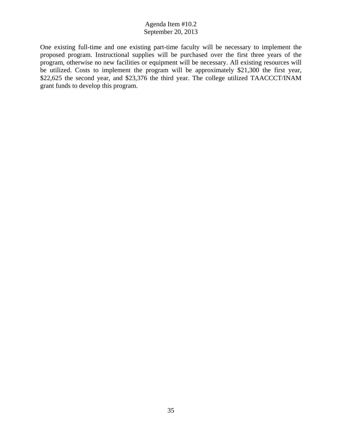One existing full-time and one existing part-time faculty will be necessary to implement the proposed program. Instructional supplies will be purchased over the first three years of the program, otherwise no new facilities or equipment will be necessary. All existing resources will be utilized. Costs to implement the program will be approximately \$21,300 the first year, \$22,625 the second year, and \$23,376 the third year. The college utilized TAACCCT/INAM grant funds to develop this program.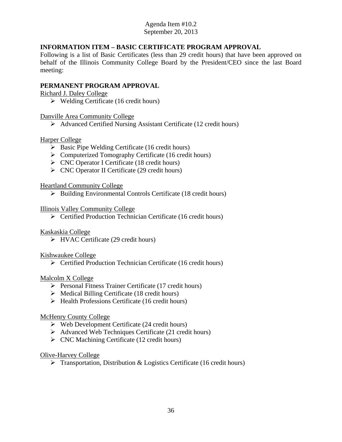# **INFORMATION ITEM – BASIC CERTIFICATE PROGRAM APPROVAL**

Following is a list of Basic Certificates (less than 29 credit hours) that have been approved on behalf of the Illinois Community College Board by the President/CEO since the last Board meeting:

# **PERMANENT PROGRAM APPROVAL**

Richard J. Daley College

 $\triangleright$  Welding Certificate (16 credit hours)

## Danville Area Community College

Advanced Certified Nursing Assistant Certificate (12 credit hours)

# Harper College

- $\triangleright$  Basic Pipe Welding Certificate (16 credit hours)
- $\triangleright$  Computerized Tomography Certificate (16 credit hours)
- CNC Operator I Certificate (18 credit hours)
- $\triangleright$  CNC Operator II Certificate (29 credit hours)

# Heartland Community College

 $\triangleright$  Building Environmental Controls Certificate (18 credit hours)

# Illinois Valley Community College

Certified Production Technician Certificate (16 credit hours)

# Kaskaskia College

 $\triangleright$  HVAC Certificate (29 credit hours)

# Kishwaukee College

 $\triangleright$  Certified Production Technician Certificate (16 credit hours)

## Malcolm X College

- $\triangleright$  Personal Fitness Trainer Certificate (17 credit hours)
- $\triangleright$  Medical Billing Certificate (18 credit hours)
- $\triangleright$  Health Professions Certificate (16 credit hours)

## McHenry County College

- $\triangleright$  Web Development Certificate (24 credit hours)
- $\triangleright$  Advanced Web Techniques Certificate (21 credit hours)
- $\triangleright$  CNC Machining Certificate (12 credit hours)

## Olive-Harvey College

 $\triangleright$  Transportation, Distribution & Logistics Certificate (16 credit hours)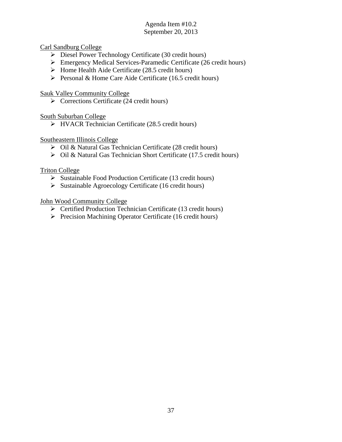Carl Sandburg College

- Diesel Power Technology Certificate (30 credit hours)
- Emergency Medical Services-Paramedic Certificate (26 credit hours)
- $\triangleright$  Home Health Aide Certificate (28.5 credit hours)
- Personal & Home Care Aide Certificate (16.5 credit hours)

Sauk Valley Community College

 $\triangleright$  Corrections Certificate (24 credit hours)

South Suburban College

 $\triangleright$  HVACR Technician Certificate (28.5 credit hours)

Southeastern Illinois College

- $\overline{\triangleright}$  Oil & Natural Gas Technician Certificate (28 credit hours)
- Oil & Natural Gas Technician Short Certificate (17.5 credit hours)

Triton College

- $\triangleright$  Sustainable Food Production Certificate (13 credit hours)
- $\triangleright$  Sustainable Agroecology Certificate (16 credit hours)

John Wood Community College

- $\triangleright$  Certified Production Technician Certificate (13 credit hours)
- $\triangleright$  Precision Machining Operator Certificate (16 credit hours)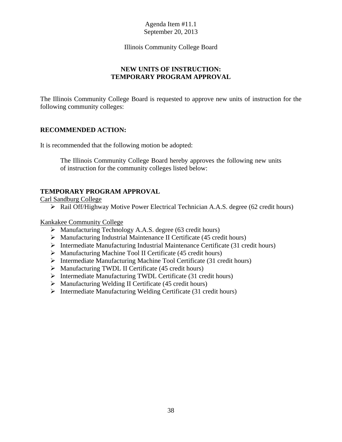## Illinois Community College Board

# **NEW UNITS OF INSTRUCTION: TEMPORARY PROGRAM APPROVAL**

The Illinois Community College Board is requested to approve new units of instruction for the following community colleges:

# **RECOMMENDED ACTION:**

It is recommended that the following motion be adopted:

The Illinois Community College Board hereby approves the following new units of instruction for the community colleges listed below:

# **TEMPORARY PROGRAM APPROVAL**

Carl Sandburg College

Rail Off/Highway Motive Power Electrical Technician A.A.S. degree (62 credit hours)

Kankakee Community College

- Manufacturing Technology A.A.S. degree (63 credit hours)
- $\triangleright$  Manufacturing Industrial Maintenance II Certificate (45 credit hours)
- $\triangleright$  Intermediate Manufacturing Industrial Maintenance Certificate (31 credit hours)
- $\triangleright$  Manufacturing Machine Tool II Certificate (45 credit hours)
- $\triangleright$  Intermediate Manufacturing Machine Tool Certificate (31 credit hours)
- $\triangleright$  Manufacturing TWDL II Certificate (45 credit hours)
- $\triangleright$  Intermediate Manufacturing TWDL Certificate (31 credit hours)
- Manufacturing Welding II Certificate (45 credit hours)
- Intermediate Manufacturing Welding Certificate (31 credit hours)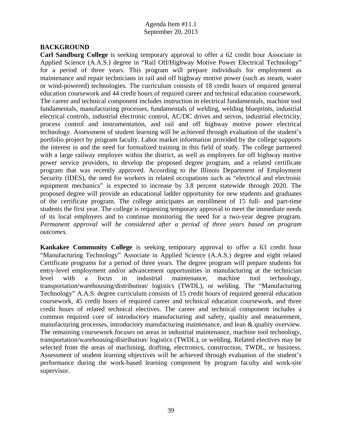## **BACKGROUND**

**Carl Sandburg College** is seeking temporary approval to offer a 62 credit hour Associate in Applied Science (A.A.S.) degree in "Rail Off/Highway Motive Power Electrical Technology" for a period of three years. This program will prepare individuals for employment as maintenance and repair technicians in rail and off highway motive power (such as steam, water or wind-powered) technologies. The curriculum consists of 18 credit hours of required general education coursework and 44 credit hours of required career and technical education coursework. The career and technical component includes instruction in electrical fundamentals, machine tool fundamentals, manufacturing processes, fundamentals of welding, welding blueprints, industrial electrical controls, industrial electronic control, AC/DC drives and servos, industrial electricity, process control and instrumentation, and rail and off highway motive power electrical technology. Assessment of student learning will be achieved through evaluation of the student's portfolio project by program faculty. Labor market information provided by the college supports the interest in and the need for formalized training in this field of study. The college partnered with a large railway employer within the district, as well as employers for off highway motive power service providers, to develop the proposed degree program, and a related certificate program that was recently approved. According to the Illinois Department of Employment Security (IDES), the need for workers in related occupations such as "electrical and electronic equipment mechanics" is expected to increase by 3.8 percent statewide through 2020. The proposed degree will provide an educational ladder opportunity for new students and graduates of the certificate program. The college anticipates an enrollment of 15 full- and part-time students the first year. The college is requesting temporary approval to meet the immediate needs of its local employers and to continue monitoring the need for a two-year degree program. *Permanent approval will be considered after a period of three years based on program outcomes.* 

**Kankakee Community College** is seeking temporary approval to offer a 63 credit hour "Manufacturing Technology" Associate in Applied Science (A.A.S.) degree and eight related Certificate programs for a period of three years. The degree program will prepare students for entry-level employment and/or advancement opportunities in manufacturing at the technician level with a focus in industrial maintenance, machine tool technology, transportation/warehousing/distribution/ logistics (TWDL), or welding. The "Manufacturing Technology" A.A.S. degree curriculum consists of 15 credit hours of required general education coursework, 45 credit hours of required career and technical education coursework, and three credit hours of related technical electives. The career and technical component includes a common required core of introductory manufacturing and safety, quality and measurement, manufacturing processes, introductory manufacturing maintenance, and lean & quality overview. The remaining coursework focuses on areas in industrial maintenance, machine tool technology, transportation/warehousing/distribution/ logistics (TWDL), or welding. Related electives may be selected from the areas of machining, drafting, electronics, construction, TWDL, or business. Assessment of student learning objectives will be achieved through evaluation of the student's performance during the work-based learning component by program faculty and work-site supervisor.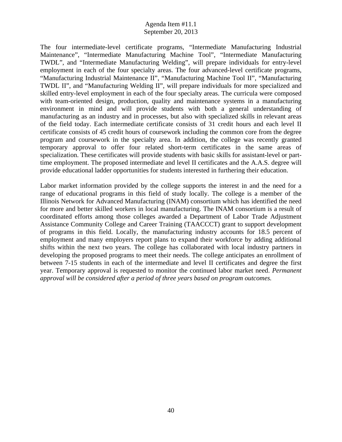The four intermediate-level certificate programs, "Intermediate Manufacturing Industrial Maintenance", "Intermediate Manufacturing Machine Tool", "Intermediate Manufacturing TWDL", and "Intermediate Manufacturing Welding", will prepare individuals for entry-level employment in each of the four specialty areas. The four advanced-level certificate programs, "Manufacturing Industrial Maintenance II", "Manufacturing Machine Tool II", "Manufacturing TWDL II", and "Manufacturing Welding II", will prepare individuals for more specialized and skilled entry-level employment in each of the four specialty areas. The curricula were composed with team-oriented design, production, quality and maintenance systems in a manufacturing environment in mind and will provide students with both a general understanding of manufacturing as an industry and in processes, but also with specialized skills in relevant areas of the field today. Each intermediate certificate consists of 31 credit hours and each level II certificate consists of 45 credit hours of coursework including the common core from the degree program and coursework in the specialty area. In addition, the college was recently granted temporary approval to offer four related short-term certificates in the same areas of specialization. These certificates will provide students with basic skills for assistant-level or parttime employment. The proposed intermediate and level II certificates and the A.A.S. degree will provide educational ladder opportunities for students interested in furthering their education.

Labor market information provided by the college supports the interest in and the need for a range of educational programs in this field of study locally. The college is a member of the Illinois Network for Advanced Manufacturing (INAM) consortium which has identified the need for more and better skilled workers in local manufacturing. The INAM consortium is a result of coordinated efforts among those colleges awarded a Department of Labor Trade Adjustment Assistance Community College and Career Training (TAACCCT) grant to support development of programs in this field. Locally, the manufacturing industry accounts for 18.5 percent of employment and many employers report plans to expand their workforce by adding additional shifts within the next two years. The college has collaborated with local industry partners in developing the proposed programs to meet their needs. The college anticipates an enrollment of between 7-15 students in each of the intermediate and level II certificates and degree the first year. Temporary approval is requested to monitor the continued labor market need. *Permanent approval will be considered after a period of three years based on program outcomes.*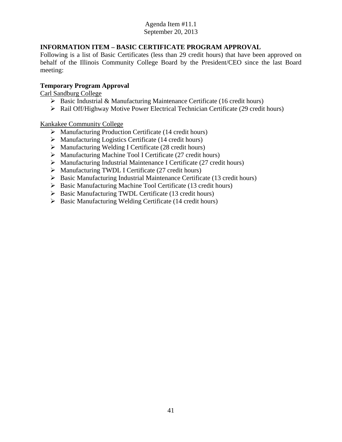# **INFORMATION ITEM – BASIC CERTIFICATE PROGRAM APPROVAL**

Following is a list of Basic Certificates (less than 29 credit hours) that have been approved on behalf of the Illinois Community College Board by the President/CEO since the last Board meeting:

# **Temporary Program Approval**

Carl Sandburg College

- $\triangleright$  Basic Industrial & Manufacturing Maintenance Certificate (16 credit hours)
- Rail Off/Highway Motive Power Electrical Technician Certificate (29 credit hours)

Kankakee Community College

- $\triangleright$  Manufacturing Production Certificate (14 credit hours)
- $\triangleright$  Manufacturing Logistics Certificate (14 credit hours)
- Manufacturing Welding I Certificate (28 credit hours)
- $\triangleright$  Manufacturing Machine Tool I Certificate (27 credit hours)
- $\triangleright$  Manufacturing Industrial Maintenance I Certificate (27 credit hours)
- $\triangleright$  Manufacturing TWDL I Certificate (27 credit hours)
- $\triangleright$  Basic Manufacturing Industrial Maintenance Certificate (13 credit hours)
- $\triangleright$  Basic Manufacturing Machine Tool Certificate (13 credit hours)
- $\triangleright$  Basic Manufacturing TWDL Certificate (13 credit hours)
- $\triangleright$  Basic Manufacturing Welding Certificate (14 credit hours)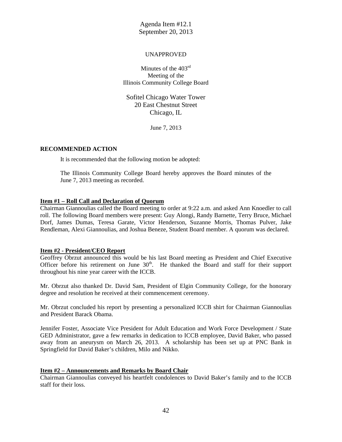#### UNAPPROVED

Minutes of the 403<sup>rd</sup> Meeting of the Illinois Community College Board

Sofitel Chicago Water Tower 20 East Chestnut Street Chicago, IL

June 7, 2013

#### **RECOMMENDED ACTION**

It is recommended that the following motion be adopted:

The Illinois Community College Board hereby approves the Board minutes of the June 7, 2013 meeting as recorded.

#### **Item #1 – Roll Call and Declaration of Quorum**

Chairman Giannoulias called the Board meeting to order at 9:22 a.m. and asked Ann Knoedler to call roll. The following Board members were present: Guy Alongi, Randy Barnette, Terry Bruce, Michael Dorf, James Dumas, Teresa Garate, Victor Henderson, Suzanne Morris, Thomas Pulver, Jake Rendleman, Alexi Giannoulias, and Joshua Beneze, Student Board member. A quorum was declared.

#### **Item #2 - President/CEO Report**

Geoffrey Obrzut announced this would be his last Board meeting as President and Chief Executive Officer before his retirement on June  $30<sup>th</sup>$ . He thanked the Board and staff for their support throughout his nine year career with the ICCB.

Mr. Obrzut also thanked Dr. David Sam, President of Elgin Community College, for the honorary degree and resolution he received at their commencement ceremony.

Mr. Obrzut concluded his report by presenting a personalized ICCB shirt for Chairman Giannoulias and President Barack Obama.

Jennifer Foster, Associate Vice President for Adult Education and Work Force Development / State GED Administrator, gave a few remarks in dedication to ICCB employee, David Baker, who passed away from an aneurysm on March 26, 2013. A scholarship has been set up at PNC Bank in Springfield for David Baker's children, Milo and Nikko.

#### **Item #2 – Announcements and Remarks by Board Chair**

Chairman Giannoulias conveyed his heartfelt condolences to David Baker's family and to the ICCB staff for their loss.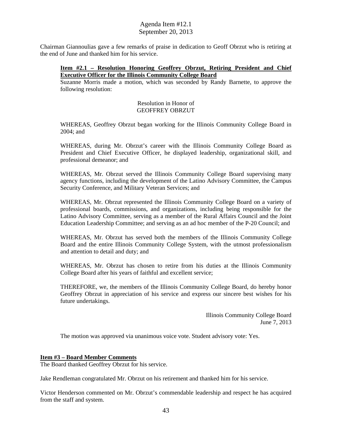Chairman Giannoulias gave a few remarks of praise in dedication to Geoff Obrzut who is retiring at the end of June and thanked him for his service.

### **Item #2.1 – Resolution Honoring Geoffrey Obrzut, Retiring President and Chief Executive Officer for the Illinois Community College Board**

Suzanne Morris made a motion, which was seconded by Randy Barnette, to approve the following resolution:

#### Resolution in Honor of GEOFFREY OBRZUT

WHEREAS, Geoffrey Obrzut began working for the Illinois Community College Board in 2004; and

WHEREAS, during Mr. Obrzut's career with the Illinois Community College Board as President and Chief Executive Officer, he displayed leadership, organizational skill, and professional demeanor; and

WHEREAS, Mr. Obrzut served the Illinois Community College Board supervising many agency functions, including the development of the Latino Advisory Committee, the Campus Security Conference, and Military Veteran Services; and

WHEREAS, Mr. Obrzut represented the Illinois Community College Board on a variety of professional boards, commissions, and organizations, including being responsible for the Latino Advisory Committee, serving as a member of the Rural Affairs Council and the Joint Education Leadership Committee; and serving as an ad hoc member of the P-20 Council; and

WHEREAS, Mr. Obrzut has served both the members of the Illinois Community College Board and the entire Illinois Community College System, with the utmost professionalism and attention to detail and duty; and

WHEREAS, Mr. Obrzut has chosen to retire from his duties at the Illinois Community College Board after his years of faithful and excellent service;

THEREFORE, we, the members of the Illinois Community College Board, do hereby honor Geoffrey Obrzut in appreciation of his service and express our sincere best wishes for his future undertakings.

> Illinois Community College Board June 7, 2013

The motion was approved via unanimous voice vote. Student advisory vote: Yes.

### **Item #3 – Board Member Comments**

The Board thanked Geoffrey Obrzut for his service.

Jake Rendleman congratulated Mr. Obrzut on his retirement and thanked him for his service.

Victor Henderson commented on Mr. Obrzut's commendable leadership and respect he has acquired from the staff and system.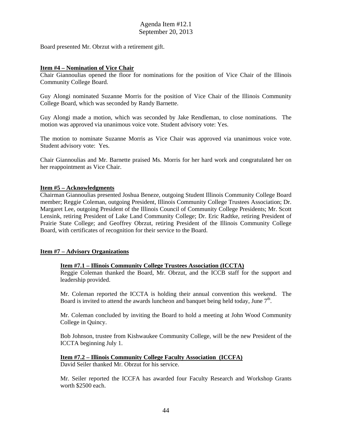Board presented Mr. Obrzut with a retirement gift.

#### **Item #4 – Nomination of Vice Chair**

Chair Giannoulias opened the floor for nominations for the position of Vice Chair of the Illinois Community College Board.

Guy Alongi nominated Suzanne Morris for the position of Vice Chair of the Illinois Community College Board, which was seconded by Randy Barnette.

Guy Alongi made a motion, which was seconded by Jake Rendleman, to close nominations. The motion was approved via unanimous voice vote. Student advisory vote: Yes.

The motion to nominate Suzanne Morris as Vice Chair was approved via unanimous voice vote. Student advisory vote: Yes.

Chair Giannoulias and Mr. Barnette praised Ms. Morris for her hard work and congratulated her on her reappointment as Vice Chair.

#### **Item #5 – Acknowledgments**

Chairman Giannoulias presented Joshua Beneze, outgoing Student Illinois Community College Board member; Reggie Coleman, outgoing President, Illinois Community College Trustees Association; Dr. Margaret Lee, outgoing President of the Illinois Council of Community College Presidents; Mr. Scott Lensink, retiring President of Lake Land Community College; Dr. Eric Radtke, retiring President of Prairie State College; and Geoffrey Obrzut, retiring President of the Illinois Community College Board, with certificates of recognition for their service to the Board.

### **Item #7 – Advisory Organizations**

#### **Item #7.1 – Illinois Community College Trustees Association (ICCTA)**

Reggie Coleman thanked the Board, Mr. Obrzut, and the ICCB staff for the support and leadership provided.

Mr. Coleman reported the ICCTA is holding their annual convention this weekend. The Board is invited to attend the awards luncheon and banquet being held today, June  $7<sup>th</sup>$ .

Mr. Coleman concluded by inviting the Board to hold a meeting at John Wood Community College in Quincy.

Bob Johnson, trustee from Kishwaukee Community College, will be the new President of the ICCTA beginning July 1.

# **Item #7.2 – Illinois Community College Faculty Association (ICCFA)**

David Seiler thanked Mr. Obrzut for his service.

Mr. Seiler reported the ICCFA has awarded four Faculty Research and Workshop Grants worth \$2500 each.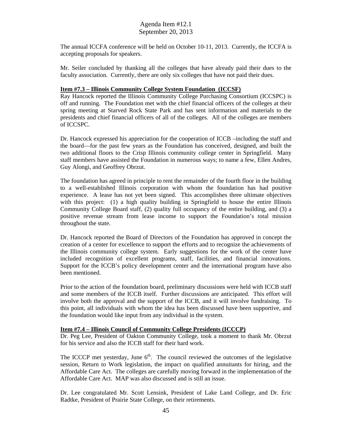The annual ICCFA conference will be held on October 10-11, 2013. Currently, the ICCFA is accepting proposals for speakers.

Mr. Seiler concluded by thanking all the colleges that have already paid their dues to the faculty association. Currently, there are only six colleges that have not paid their dues.

#### **Item #7.3 – Illinois Community College System Foundation (ICCSF)**

Ray Hancock reported the Illinois Community College Purchasing Consortium (ICCSPC) is off and running. The Foundation met with the chief financial officers of the colleges at their spring meeting at Starved Rock State Park and has sent information and materials to the presidents and chief financial officers of all of the colleges. All of the colleges are members of ICCSPC.

Dr. Hancock expressed his appreciation for the cooperation of ICCB –including the staff and the board—for the past few years as the Foundation has conceived, designed, and built the two additional floors to the Crisp Illinois community college center in Springfield. Many staff members have assisted the Foundation in numerous ways; to name a few, Ellen Andres, Guy Alongi, and Geoffrey Obrzut.

The foundation has agreed in principle to rent the remainder of the fourth floor in the building to a well-established Illinois corporation with whom the foundation has had positive experience. A lease has not yet been signed. This accomplishes three ultimate objectives with this project: (1) a high quality building in Springfield to house the entire Illinois Community College Board staff, (2) quality full occupancy of the entire building, and (3) a positive revenue stream from lease income to support the Foundation's total mission throughout the state.

Dr. Hancock reported the Board of Directors of the Foundation has approved in concept the creation of a center for excellence to support the efforts and to recognize the achievements of the Illinois community college system. Early suggestions for the work of the center have included recognition of excellent programs, staff, facilities, and financial innovations. Support for the ICCB's policy development center and the international program have also been mentioned.

Prior to the action of the foundation board, preliminary discussions were held with ICCB staff and some members of the ICCB itself. Further discussions are anticipated. This effort will involve both the approval and the support of the ICCB, and it will involve fundraising. To this point, all individuals with whom the idea has been discussed have been supportive, and the foundation would like input from any individual in the system.

#### **Item #7.4 – Illinois Council of Community College Presidents (ICCCP)**

Dr. Peg Lee, President of Oakton Community College, took a moment to thank Mr. Obrzut for his service and also the ICCB staff for their hard work.

The ICCCP met yesterday, June  $6<sup>th</sup>$ . The council reviewed the outcomes of the legislative session, Return to Work legislation, the impact on qualified annuitants for hiring, and the Affordable Care Act. The colleges are carefully moving forward in the implementation of the Affordable Care Act. MAP was also discussed and is still an issue.

Dr. Lee congratulated Mr. Scott Lensink, President of Lake Land College, and Dr. Eric Radtke, President of Prairie State College, on their retirements.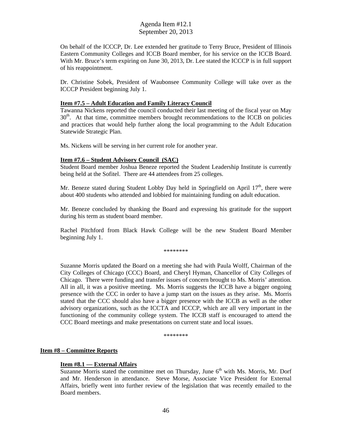On behalf of the ICCCP, Dr. Lee extended her gratitude to Terry Bruce, President of Illinois Eastern Community Colleges and ICCB Board member, for his service on the ICCB Board. With Mr. Bruce's term expiring on June 30, 2013, Dr. Lee stated the ICCCP is in full support of his reappointment.

Dr. Christine Sobek, President of Waubonsee Community College will take over as the ICCCP President beginning July 1.

#### **Item #7.5 – Adult Education and Family Literacy Council**

Tawanna Nickens reported the council conducted their last meeting of the fiscal year on May  $30<sup>th</sup>$ . At that time, committee members brought recommendations to the ICCB on policies and practices that would help further along the local programming to the Adult Education Statewide Strategic Plan.

Ms. Nickens will be serving in her current role for another year.

#### **Item #7.6 – Student Advisory Council (SAC)**

Student Board member Joshua Beneze reported the Student Leadership Institute is currently being held at the Sofitel. There are 44 attendees from 25 colleges.

Mr. Beneze stated during Student Lobby Day held in Springfield on April  $17<sup>th</sup>$ , there were about 400 students who attended and lobbied for maintaining funding on adult education.

Mr. Beneze concluded by thanking the Board and expressing his gratitude for the support during his term as student board member.

Rachel Pitchford from Black Hawk College will be the new Student Board Member beginning July 1.

\*\*\*\*\*\*\*\*

Suzanne Morris updated the Board on a meeting she had with Paula Wolff, Chairman of the City Colleges of Chicago (CCC) Board, and Cheryl Hyman, Chancellor of City Colleges of Chicago. There were funding and transfer issues of concern brought to Ms. Morris' attention. All in all, it was a positive meeting. Ms. Morris suggests the ICCB have a bigger ongoing presence with the CCC in order to have a jump start on the issues as they arise. Ms. Morris stated that the CCC should also have a bigger presence with the ICCB as well as the other advisory organizations, such as the ICCTA and ICCCP, which are all very important in the functioning of the community college system. The ICCB staff is encouraged to attend the CCC Board meetings and make presentations on current state and local issues.

\*\*\*\*\*\*\*\*

#### **Item #8 – Committee Reports**

#### **Item #8.1 –– External Affairs**

Suzanne Morris stated the committee met on Thursday, June  $6<sup>th</sup>$  with Ms. Morris, Mr. Dorf and Mr. Henderson in attendance. Steve Morse, Associate Vice President for External Affairs, briefly went into further review of the legislation that was recently emailed to the Board members.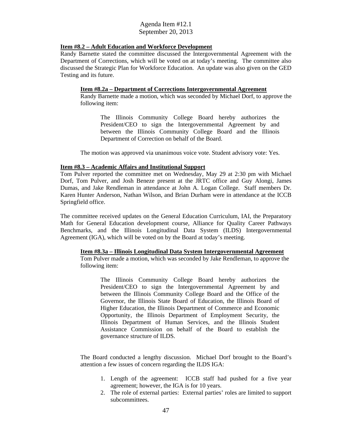### **Item #8.2 – Adult Education and Workforce Development**

Randy Barnette stated the committee discussed the Intergovernmental Agreement with the Department of Corrections, which will be voted on at today's meeting. The committee also discussed the Strategic Plan for Workforce Education. An update was also given on the GED Testing and its future.

### **Item #8.2a – Department of Corrections Intergovernmental Agreement**

Randy Barnette made a motion, which was seconded by Michael Dorf, to approve the following item:

The Illinois Community College Board hereby authorizes the President/CEO to sign the Intergovernmental Agreement by and between the Illinois Community College Board and the Illinois Department of Correction on behalf of the Board.

The motion was approved via unanimous voice vote. Student advisory vote: Yes.

### **Item #8.3 – Academic Affairs and Institutional Support**

Tom Pulver reported the committee met on Wednesday, May 29 at 2:30 pm with Michael Dorf, Tom Pulver, and Josh Beneze present at the JRTC office and Guy Alongi, James Dumas, and Jake Rendleman in attendance at John A. Logan College. Staff members Dr. Karen Hunter Anderson, Nathan Wilson, and Brian Durham were in attendance at the ICCB Springfield office.

The committee received updates on the General Education Curriculum, IAI, the Preparatory Math for General Education development course, Alliance for Quality Career Pathways Benchmarks, and the Illinois Longitudinal Data System (ILDS) Intergovernmental Agreement (IGA), which will be voted on by the Board at today's meeting.

### **Item #8.3a – Illinois Longitudinal Data System Intergovernmental Agreement**

Tom Pulver made a motion, which was seconded by Jake Rendleman, to approve the following item:

The Illinois Community College Board hereby authorizes the President/CEO to sign the Intergovernmental Agreement by and between the Illinois Community College Board and the Office of the Governor, the Illinois State Board of Education, the Illinois Board of Higher Education, the Illinois Department of Commerce and Economic Opportunity, the Illinois Department of Employment Security, the Illinois Department of Human Services, and the Illinois Student Assistance Commission on behalf of the Board to establish the governance structure of ILDS.

The Board conducted a lengthy discussion. Michael Dorf brought to the Board's attention a few issues of concern regarding the ILDS IGA:

- 1. Length of the agreement: ICCB staff had pushed for a five year agreement; however, the IGA is for 10 years.
- 2. The role of external parties: External parties' roles are limited to support subcommittees.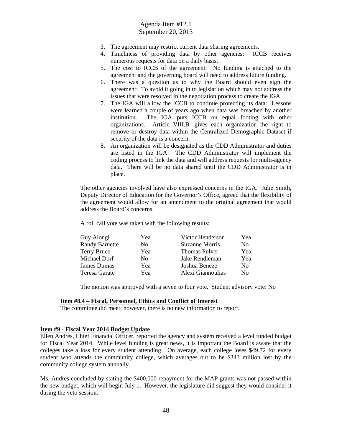- 3. The agreement may restrict current data sharing agreements.
- 4. Timeliness of providing data by other agencies: ICCB receives numerous requests for data on a daily basis.
- 5. The cost to ICCB of the agreement: No funding is attached to the agreement and the governing board will need to address future funding.
- 6. There was a question as to why the Board should even sign the agreement: To avoid it going in to legislation which may not address the issues that were resolved in the negotiation process to create the IGA.
- 7. The IGA will allow the ICCB to continue protecting its data: Lessons were learned a couple of years ago when data was breached by another institution. The IGA puts ICCB on equal footing with other organizations. Article VIII.B. gives each organization the right to remove or destroy data within the Centralized Demographic Dataset if security of the data is a concern.
- 8. An organization will be designated as the CDD Administrator and duties are listed in the IGA: The CDD Administrator will implement the coding process to link the data and will address requests for multi-agency data. There will be no data shared until the CDD Administrator is in place.

The other agencies involved have also expressed concerns in the IGA. Julie Smith, Deputy Director of Education for the Governor's Office, agreed that the flexibility of the agreement would allow for an amendment to the original agreement that would address the Board's concerns.

A roll call vote was taken with the following results:

| Guy Alongi            | Yea            | Victor Henderson      | Yea            |
|-----------------------|----------------|-----------------------|----------------|
| <b>Randy Barnette</b> | No             | <b>Suzanne Morris</b> | No.            |
| <b>Terry Bruce</b>    | Yea            | <b>Thomas Pulver</b>  | Yea            |
| Michael Dorf          | N <sub>0</sub> | Jake Rendleman        | Yea            |
| James Dumas           | Yea            | Joshua Beneze         | N <sub>0</sub> |
| Teresa Garate         | Yea            | Alexi Giannoulias     | No.            |

The motion was approved with a seven to four vote. Student advisory vote: No

#### **Item #8.4 – Fiscal, Personnel, Ethics and Conflict of Interest**

The committee did meet; however, there is no new information to report.

#### **Item #9 - Fiscal Year 2014 Budget Update**

Ellen Andres, Chief Financial Officer, reported the agency and system received a level funded budget for Fiscal Year 2014. While level funding is great news, it is important the Board is aware that the colleges take a loss for every student attending. On average, each college loses \$49.72 for every student who attends the community college, which averages out to be \$343 million lost by the community college system annually.

Ms. Andres concluded by stating the \$400,000 repayment for the MAP grants was not passed within the new budget, which will begin July 1. However, the legislature did suggest they would consider it during the veto session.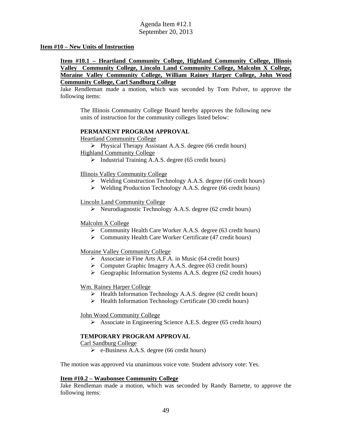#### **Item #10 – New Units of Instruction**

**Item #10.1 – Heartland Community College, Highland Community College, Illinois Valley Community College, Lincoln Land Community College, Malcolm X College, Moraine Valley Community College, William Rainey Harper College, John Wood Community College, Carl Sandburg College** 

Jake Rendleman made a motion, which was seconded by Tom Pulver, to approve the following items:

The Illinois Community College Board hereby approves the following new units of instruction for the community colleges listed below:

#### **PERMANENT PROGRAM APPROVAL**

Heartland Community College

 $\triangleright$  Physical Therapy Assistant A.A.S. degree (66 credit hours) Highland Community College

 $\triangleright$  Industrial Training A.A.S. degree (65 credit hours)

Illinois Valley Community College

- Welding Construction Technology A.A.S. degree (66 credit hours)
- $\triangleright$  Welding Production Technology A.A.S. degree (66 credit hours)

#### Lincoln Land Community College

 $\triangleright$  Neurodiagnostic Technology A.A.S. degree (62 credit hours)

#### Malcolm X College

- Community Health Care Worker A.A.S. degree (63 credit hours)
- $\triangleright$  Community Health Care Worker Certificate (47 credit hours)

### Moraine Valley Community College

- $\triangleright$  Associate in Fine Arts A.F.A. in Music (64 credit hours)
- $\triangleright$  Computer Graphic Imagery A.A.S. degree (63 credit hours)
- Geographic Information Systems A.A.S. degree (62 credit hours)

### Wm. Rainey Harper College

- $\triangleright$  Health Information Technology A.A.S. degree (62 credit hours)
- $\triangleright$  Health Information Technology Certificate (30 credit hours)

### John Wood Community College

Associate in Engineering Science A.E.S. degree (65 credit hours)

### **TEMPORARY PROGRAM APPROVAL**

Carl Sandburg College

 $\triangleright$  e-Business A.A.S. degree (66 credit hours)

The motion was approved via unanimous voice vote. Student advisory vote: Yes.

#### **Item #10.2 – Waubonsee Community College**

Jake Rendleman made a motion, which was seconded by Randy Barnette, to approve the following items: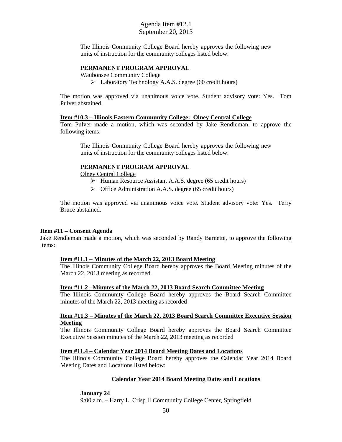The Illinois Community College Board hereby approves the following new units of instruction for the community colleges listed below:

#### **PERMANENT PROGRAM APPROVAL**

Waubonsee Community College

Laboratory Technology A.A.S. degree (60 credit hours)

The motion was approved via unanimous voice vote. Student advisory vote: Yes. Tom Pulver abstained.

#### **Item #10.3 – Illinois Eastern Community College: Olney Central College**

Tom Pulver made a motion, which was seconded by Jake Rendleman, to approve the following items:

The Illinois Community College Board hereby approves the following new units of instruction for the community colleges listed below:

#### **PERMANENT PROGRAM APPROVAL**

Olney Central College

- $\triangleright$  Human Resource Assistant A.A.S. degree (65 credit hours)
- $\triangleright$  Office Administration A.A.S. degree (65 credit hours)

The motion was approved via unanimous voice vote. Student advisory vote: Yes. Terry Bruce abstained.

#### **Item #11 – Consent Agenda**

Jake Rendleman made a motion, which was seconded by Randy Barnette, to approve the following items:

#### **Item #11.1 – Minutes of the March 22, 2013 Board Meeting**

The Illinois Community College Board hereby approves the Board Meeting minutes of the March 22, 2013 meeting as recorded.

#### **Item #11.2 –Minutes of the March 22, 2013 Board Search Committee Meeting**

The Illinois Community College Board hereby approves the Board Search Committee minutes of the March 22, 2013 meeting as recorded

#### **Item #11.3 – Minutes of the March 22, 2013 Board Search Committee Executive Session Meeting**

The Illinois Community College Board hereby approves the Board Search Committee Executive Session minutes of the March 22, 2013 meeting as recorded

#### **Item #11.4 – Calendar Year 2014 Board Meeting Dates and Locations**

The Illinois Community College Board hereby approves the Calendar Year 2014 Board Meeting Dates and Locations listed below:

#### **Calendar Year 2014 Board Meeting Dates and Locations**

**January 24** 

9:00 a.m. – Harry L. Crisp II Community College Center, Springfield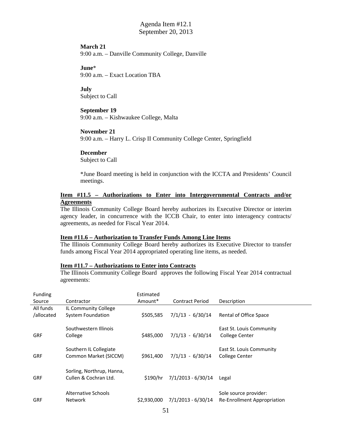#### **March 21**

9:00 a.m. – Danville Community College, Danville

**June**\*

9:00 a.m. – Exact Location TBA

#### **July**

Subject to Call

### **September 19**

9:00 a.m. – Kishwaukee College, Malta

### **November 21**

9:00 a.m. – Harry L. Crisp II Community College Center, Springfield

#### **December**

Subject to Call

\*June Board meeting is held in conjunction with the ICCTA and Presidents' Council meetings.

### **Item #11.5 – Authorizations to Enter into Intergovernmental Contracts and/or Agreements**

The Illinois Community College Board hereby authorizes its Executive Director or interim agency leader, in concurrence with the ICCB Chair, to enter into interagency contracts/ agreements, as needed for Fiscal Year 2014.

#### **Item #11.6 – Authorization to Transfer Funds Among Line Items**

The Illinois Community College Board hereby authorizes its Executive Director to transfer funds among Fiscal Year 2014 appropriated operating line items, as needed.

#### **Item #11.7 – Authorizations to Enter into Contracts**

The Illinois Community College Board approves the following Fiscal Year 2014 contractual agreements:

| Funding    |                           | Estimated   |                        |                             |
|------------|---------------------------|-------------|------------------------|-----------------------------|
| Source     | Contractor                | Amount*     | <b>Contract Period</b> | Description                 |
| All funds  | IL Community College      |             |                        |                             |
| /allocated | <b>System Foundation</b>  | \$505,585   | $7/1/13 - 6/30/14$     | Rental of Office Space      |
|            | Southwestern Illinois     |             |                        | East St. Louis Community    |
| <b>GRF</b> | College                   | \$485,000   | $7/1/13 - 6/30/14$     | <b>College Center</b>       |
|            | Southern IL Collegiate    |             |                        | East St. Louis Community    |
| <b>GRF</b> | Common Market (SICCM)     | \$961,400   | $7/1/13 - 6/30/14$     | <b>College Center</b>       |
|            | Sorling, Northrup, Hanna, |             |                        |                             |
| <b>GRF</b> | Cullen & Cochran Ltd.     | \$190/hr    | $7/1/2013 - 6/30/14$   | Legal                       |
|            |                           |             |                        |                             |
| <b>GRF</b> | <b>Network</b>            | \$2,930,000 | 7/1/2013 - 6/30/14     | Re-Enrollment Appropriation |
|            | Alternative Schools       |             |                        | Sole source provider:       |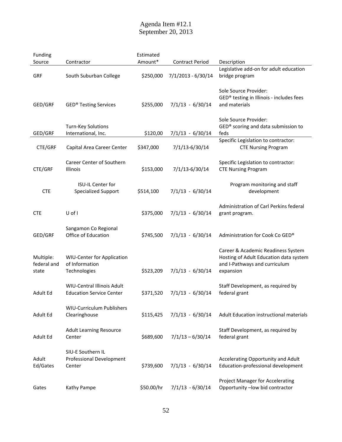| Funding                           |                                                                      | Estimated  |                        |                                                                                                                            |
|-----------------------------------|----------------------------------------------------------------------|------------|------------------------|----------------------------------------------------------------------------------------------------------------------------|
| Source                            | Contractor                                                           | Amount*    | <b>Contract Period</b> | Description                                                                                                                |
| <b>GRF</b>                        | South Suburban College                                               | \$250,000  | 7/1/2013 - 6/30/14     | Legislative add-on for adult education<br>bridge program                                                                   |
| GED/GRF                           | <b>GED® Testing Services</b>                                         | \$255,000  | $7/1/13 - 6/30/14$     | Sole Source Provider:<br>GED® testing in Illinois - includes fees<br>and materials                                         |
| GED/GRF                           | <b>Turn-Key Solutions</b><br>International, Inc.                     | \$120,00   | $7/1/13 - 6/30/14$     | Sole Source Provider:<br>GED® scoring and data submission to<br>feds                                                       |
| CTE/GRF                           | Capital Area Career Center                                           | \$347,000  | 7/1/13-6/30/14         | Specific Legislation to contractor:<br><b>CTE Nursing Program</b>                                                          |
| CTE/GRF                           | <b>Career Center of Southern</b><br>Illinois                         | \$153,000  | 7/1/13-6/30/14         | Specific Legislation to contractor:<br><b>CTE Nursing Program</b>                                                          |
| <b>CTE</b>                        | <b>ISU-IL Center for</b><br><b>Specialized Support</b>               | \$514,100  | $7/1/13 - 6/30/14$     | Program monitoring and staff<br>development                                                                                |
| <b>CTE</b>                        | U of I                                                               | \$375,000  | $7/1/13 - 6/30/14$     | Administration of Carl Perkins federal<br>grant program.                                                                   |
| GED/GRF                           | Sangamon Co Regional<br>Office of Education                          | \$745,500  | $7/1/13 - 6/30/14$     | Administration for Cook Co GED®                                                                                            |
| Multiple:<br>federal and<br>state | <b>WIU-Center for Application</b><br>of Information<br>Technologies  | \$523,209  | $7/1/13 - 6/30/14$     | Career & Academic Readiness System<br>Hosting of Adult Education data system<br>and I-Pathways and curriculum<br>expansion |
| Adult Ed                          | <b>WIU-Central Illinois Adult</b><br><b>Education Service Center</b> | \$371,520  | $7/1/13 - 6/30/14$     | Staff Development, as required by<br>federal grant                                                                         |
| Adult Ed                          | WIU-Curriculum Publishers<br>Clearinghouse                           | \$115,425  | $7/1/13 - 6/30/14$     | Adult Education instructional materials                                                                                    |
| Adult Ed                          | <b>Adult Learning Resource</b><br>Center                             | \$689,600  | $7/1/13 - 6/30/14$     | Staff Development, as required by<br>federal grant                                                                         |
| Adult<br>Ed/Gates                 | SIU-E Southern IL<br><b>Professional Development</b><br>Center       | \$739,600  | $7/1/13 - 6/30/14$     | Accelerating Opportunity and Adult<br>Education-professional development                                                   |
| Gates                             | Kathy Pampe                                                          | \$50.00/hr | $7/1/13 - 6/30/14$     | Project Manager for Accelerating<br>Opportunity -low bid contractor                                                        |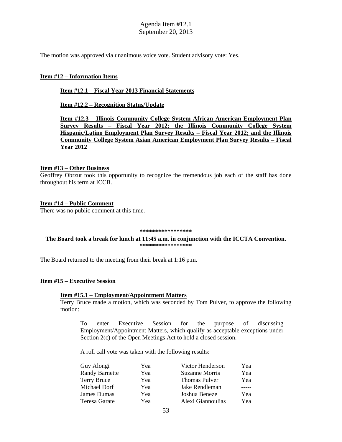The motion was approved via unanimous voice vote. Student advisory vote: Yes.

#### **Item #12 – Information Items**

#### **Item #12.1 – Fiscal Year 2013 Financial Statements**

**Item #12.2 – Recognition Status/Update** 

**Item #12.3 – Illinois Community College System African American Employment Plan Survey Results – Fiscal Year 2012; the Illinois Community College System Hispanic/Latino Employment Plan Survey Results – Fiscal Year 2012; and the Illinois Community College System Asian American Employment Plan Survey Results – Fiscal Year 2012** 

#### **Item #13 – Other Business**

Geoffrey Obrzut took this opportunity to recognize the tremendous job each of the staff has done throughout his term at ICCB.

#### **Item #14 – Public Comment**

There was no public comment at this time.

#### **\*\*\*\*\*\*\*\*\*\*\*\*\*\*\*\*\***

#### **The Board took a break for lunch at 11:45 a.m. in conjunction with the ICCTA Convention. \*\*\*\*\*\*\*\*\*\*\*\*\*\*\*\*\***

The Board returned to the meeting from their break at 1:16 p.m.

#### **Item #15 – Executive Session**

## **Item #15.1 – Employment/Appointment Matters**

Terry Bruce made a motion, which was seconded by Tom Pulver, to approve the following motion:

To enter Executive Session for the purpose of discussing Employment/Appointment Matters, which qualify as acceptable exceptions under Section 2(c) of the Open Meetings Act to hold a closed session.

A roll call vote was taken with the following results:

| Yea | Victor Henderson  | Yea |
|-----|-------------------|-----|
| Yea | Suzanne Morris    | Yea |
| Yea | Thomas Pulver     | Yea |
| Yea | Jake Rendleman    |     |
| Yea | Joshua Beneze     | Yea |
| Yea | Alexi Giannoulias | Yea |
|     |                   |     |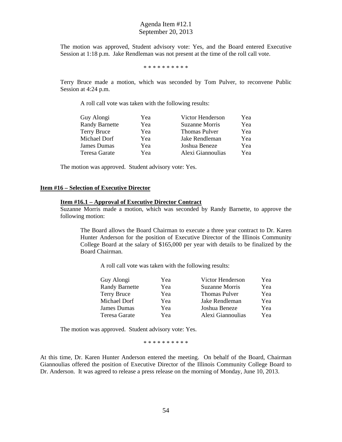The motion was approved, Student advisory vote: Yes, and the Board entered Executive Session at 1:18 p.m. Jake Rendleman was not present at the time of the roll call vote.

\* \* \* \* \* \* \* \* \* \*

Terry Bruce made a motion, which was seconded by Tom Pulver, to reconvene Public Session at 4:24 p.m.

A roll call vote was taken with the following results:

| Yea | Victor Henderson     | Yea |
|-----|----------------------|-----|
| Yea | Suzanne Morris       | Yea |
| Yea | <b>Thomas Pulver</b> | Yea |
| Yea | Jake Rendleman       | Yea |
| Yea | Joshua Beneze        | Yea |
| Yea | Alexi Giannoulias    | Yea |
|     |                      |     |

The motion was approved. Student advisory vote: Yes.

#### **Item #16 – Selection of Executive Director**

#### **Item #16.1 – Approval of Executive Director Contract**

Suzanne Morris made a motion, which was seconded by Randy Barnette, to approve the following motion:

The Board allows the Board Chairman to execute a three year contract to Dr. Karen Hunter Anderson for the position of Executive Director of the Illinois Community College Board at the salary of \$165,000 per year with details to be finalized by the Board Chairman.

A roll call vote was taken with the following results:

| Yea | Victor Henderson     | Yea |
|-----|----------------------|-----|
| Yea | Suzanne Morris       | Yea |
| Yea | <b>Thomas Pulver</b> | Yea |
| Yea | Jake Rendleman       | Yea |
| Yea | Joshua Beneze        | Yea |
| Yea | Alexi Giannoulias    | Yea |
|     |                      |     |

The motion was approved. Student advisory vote: Yes.

\* \* \* \* \* \* \* \* \* \*

At this time, Dr. Karen Hunter Anderson entered the meeting. On behalf of the Board, Chairman Giannoulias offered the position of Executive Director of the Illinois Community College Board to Dr. Anderson. It was agreed to release a press release on the morning of Monday, June 10, 2013.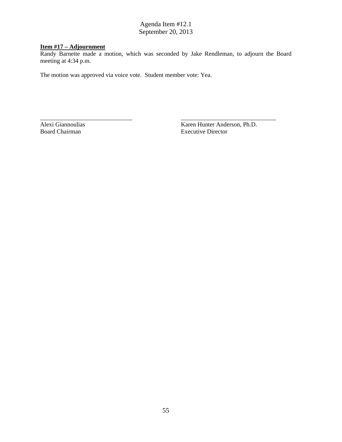# **Item #17 – Adjournment**

Randy Barnette made a motion, which was seconded by Jake Rendleman, to adjourn the Board meeting at 4:34 p.m.

\_\_\_\_\_\_\_\_\_\_\_\_\_\_\_\_\_\_\_\_\_\_\_\_\_\_\_\_\_\_ \_\_\_\_\_\_\_\_\_\_\_\_\_\_\_\_\_\_\_\_\_\_\_\_\_\_\_\_\_\_\_

The motion was approved via voice vote. Student member vote: Yea.

Alexi Giannoulias Karen Hunter Anderson, Ph.D. Board Chairman Executive Director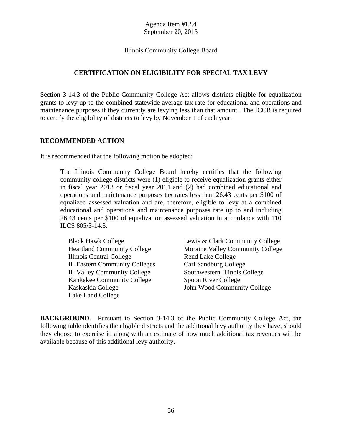Illinois Community College Board

# **CERTIFICATION ON ELIGIBILITY FOR SPECIAL TAX LEVY**

Section 3-14.3 of the Public Community College Act allows districts eligible for equalization grants to levy up to the combined statewide average tax rate for educational and operations and maintenance purposes if they currently are levying less than that amount. The ICCB is required to certify the eligibility of districts to levy by November 1 of each year.

## **RECOMMENDED ACTION**

It is recommended that the following motion be adopted:

The Illinois Community College Board hereby certifies that the following community college districts were (1) eligible to receive equalization grants either in fiscal year 2013 or fiscal year 2014 and (2) had combined educational and operations and maintenance purposes tax rates less than 26.43 cents per \$100 of equalized assessed valuation and are, therefore, eligible to levy at a combined educational and operations and maintenance purposes rate up to and including 26.43 cents per \$100 of equalization assessed valuation in accordance with 110 ILCS 805/3-14.3:

| <b>Black Hawk College</b>            | Lewis & Cla |
|--------------------------------------|-------------|
| <b>Heartland Community College</b>   | Moraine Va  |
| Illinois Central College             | Rend Lake 0 |
| <b>IL Eastern Community Colleges</b> | Carl Sandbu |
| <b>IL Valley Community College</b>   | Southwester |
| Kankakee Community College           | Spoon River |
| Kaskaskia College                    | John Wood   |
| Lake Land College                    |             |

ark Community College Hey Community College College Irg College Illinois College r College Community College

**BACKGROUND**. Pursuant to Section 3-14.3 of the Public Community College Act, the following table identifies the eligible districts and the additional levy authority they have, should they choose to exercise it, along with an estimate of how much additional tax revenues will be available because of this additional levy authority.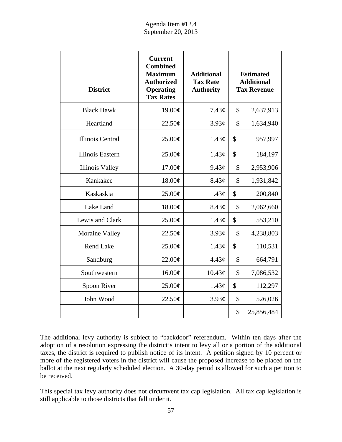| <b>District</b>         | <b>Current</b><br><b>Combined</b><br><b>Maximum</b><br><b>Authorized</b><br><b>Operating</b><br><b>Tax Rates</b> | <b>Additional</b><br><b>Tax Rate</b><br><b>Authority</b> | <b>Estimated</b><br><b>Additional</b><br><b>Tax Revenue</b> |
|-------------------------|------------------------------------------------------------------------------------------------------------------|----------------------------------------------------------|-------------------------------------------------------------|
| <b>Black Hawk</b>       | 19.00¢                                                                                                           | 7.43¢                                                    | \$<br>2,637,913                                             |
| Heartland               | 22.50¢                                                                                                           | 3.93c                                                    | \$<br>1,634,940                                             |
| <b>Illinois Central</b> | 25.00¢                                                                                                           | 1.43¢                                                    | \$<br>957,997                                               |
| Illinois Eastern        | 25.00¢                                                                                                           | 1.43¢                                                    | \$<br>184,197                                               |
| <b>Illinois Valley</b>  | 17.00¢                                                                                                           | 9.43¢                                                    | \$<br>2,953,906                                             |
| Kankakee                | 18.00¢                                                                                                           | 8.43¢                                                    | \$<br>1,931,842                                             |
| Kaskaskia               | 25.00¢                                                                                                           | 1.43¢                                                    | \$<br>200,840                                               |
| Lake Land               | 18.00¢                                                                                                           | 8.43¢                                                    | \$<br>2,062,660                                             |
| Lewis and Clark         | 25.00¢                                                                                                           | 1.43¢                                                    | \$<br>553,210                                               |
| <b>Moraine Valley</b>   | 22.50¢                                                                                                           | 3.93¢                                                    | \$<br>4,238,803                                             |
| <b>Rend Lake</b>        | $25.00\text{\textdegree}$                                                                                        | $1.43\mathcal{C}$                                        | \$<br>110,531                                               |
| Sandburg                | 22.00¢                                                                                                           | 4.43 <sub>c</sub>                                        | \$<br>664,791                                               |
| Southwestern            | 16.00¢                                                                                                           | 10.43¢                                                   | \$<br>7,086,532                                             |
| Spoon River             | 25.00¢                                                                                                           | 1.43¢                                                    | \$<br>112,297                                               |
| John Wood               | 22.50¢                                                                                                           | 3.93c                                                    | \$<br>526,026                                               |
|                         |                                                                                                                  |                                                          | \$<br>25,856,484                                            |

The additional levy authority is subject to "backdoor" referendum. Within ten days after the adoption of a resolution expressing the district's intent to levy all or a portion of the additional taxes, the district is required to publish notice of its intent. A petition signed by 10 percent or more of the registered voters in the district will cause the proposed increase to be placed on the ballot at the next regularly scheduled election. A 30-day period is allowed for such a petition to be received.

This special tax levy authority does not circumvent tax cap legislation. All tax cap legislation is still applicable to those districts that fall under it.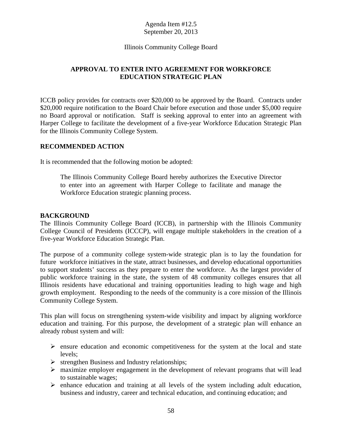## Illinois Community College Board

# **APPROVAL TO ENTER INTO AGREEMENT FOR WORKFORCE EDUCATION STRATEGIC PLAN**

ICCB policy provides for contracts over \$20,000 to be approved by the Board. Contracts under \$20,000 require notification to the Board Chair before execution and those under \$5,000 require no Board approval or notification. Staff is seeking approval to enter into an agreement with Harper College to facilitate the development of a five-year Workforce Education Strategic Plan for the Illinois Community College System.

## **RECOMMENDED ACTION**

It is recommended that the following motion be adopted:

The Illinois Community College Board hereby authorizes the Executive Director to enter into an agreement with Harper College to facilitate and manage the Workforce Education strategic planning process.

### **BACKGROUND**

The Illinois Community College Board (ICCB), in partnership with the Illinois Community College Council of Presidents (ICCCP), will engage multiple stakeholders in the creation of a five-year Workforce Education Strategic Plan.

The purpose of a community college system-wide strategic plan is to lay the foundation for future workforce initiatives in the state, attract businesses, and develop educational opportunities to support students' success as they prepare to enter the workforce. As the largest provider of public workforce training in the state, the system of 48 community colleges ensures that all Illinois residents have educational and training opportunities leading to high wage and high growth employment. Responding to the needs of the community is a core mission of the Illinois Community College System.

This plan will focus on strengthening system-wide visibility and impact by aligning workforce education and training. For this purpose, the development of a strategic plan will enhance an already robust system and will:

- $\triangleright$  ensure education and economic competitiveness for the system at the local and state levels;
- $\triangleright$  strengthen Business and Industry relationships;
- $\triangleright$  maximize employer engagement in the development of relevant programs that will lead to sustainable wages;
- $\triangleright$  enhance education and training at all levels of the system including adult education, business and industry, career and technical education, and continuing education; and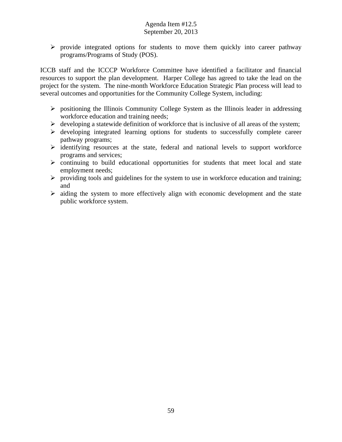$\triangleright$  provide integrated options for students to move them quickly into career pathway programs/Programs of Study (POS).

ICCB staff and the ICCCP Workforce Committee have identified a facilitator and financial resources to support the plan development. Harper College has agreed to take the lead on the project for the system. The nine-month Workforce Education Strategic Plan process will lead to several outcomes and opportunities for the Community College System, including:

- $\triangleright$  positioning the Illinois Community College System as the Illinois leader in addressing workforce education and training needs;
- $\triangleright$  developing a statewide definition of workforce that is inclusive of all areas of the system;
- $\triangleright$  developing integrated learning options for students to successfully complete career pathway programs;
- $\triangleright$  identifying resources at the state, federal and national levels to support workforce programs and services;
- $\triangleright$  continuing to build educational opportunities for students that meet local and state employment needs;
- $\triangleright$  providing tools and guidelines for the system to use in workforce education and training; and
- $\triangleright$  aiding the system to more effectively align with economic development and the state public workforce system.